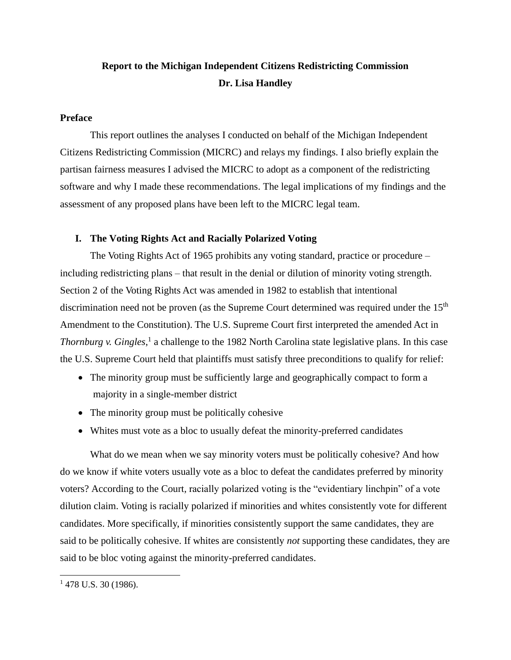# **Report to the Michigan Independent Citizens Redistricting Commission Dr. Lisa Handley**

### **Preface**

This report outlines the analyses I conducted on behalf of the Michigan Independent Citizens Redistricting Commission (MICRC) and relays my findings. I also briefly explain the partisan fairness measures I advised the MICRC to adopt as a component of the redistricting software and why I made these recommendations. The legal implications of my findings and the assessment of any proposed plans have been left to the MICRC legal team.

### **I. The Voting Rights Act and Racially Polarized Voting**

The Voting Rights Act of 1965 prohibits any voting standard, practice or procedure – including redistricting plans – that result in the denial or dilution of minority voting strength. Section 2 of the Voting Rights Act was amended in 1982 to establish that intentional discrimination need not be proven (as the Supreme Court determined was required under the 15<sup>th</sup> Amendment to the Constitution). The U.S. Supreme Court first interpreted the amended Act in *Thornburg v. Gingles*, 1 a challenge to the 1982 North Carolina state legislative plans. In this case the U.S. Supreme Court held that plaintiffs must satisfy three preconditions to qualify for relief:

- The minority group must be sufficiently large and geographically compact to form a majority in a single-member district
- The minority group must be politically cohesive
- Whites must vote as a bloc to usually defeat the minority-preferred candidates

What do we mean when we say minority voters must be politically cohesive? And how do we know if white voters usually vote as a bloc to defeat the candidates preferred by minority voters? According to the Court*,* racially polarized voting is the "evidentiary linchpin" of a vote dilution claim. Voting is racially polarized if minorities and whites consistently vote for different candidates. More specifically, if minorities consistently support the same candidates, they are said to be politically cohesive. If whites are consistently *not* supporting these candidates, they are said to be bloc voting against the minority-preferred candidates.

 $1478$  U.S. 30 (1986).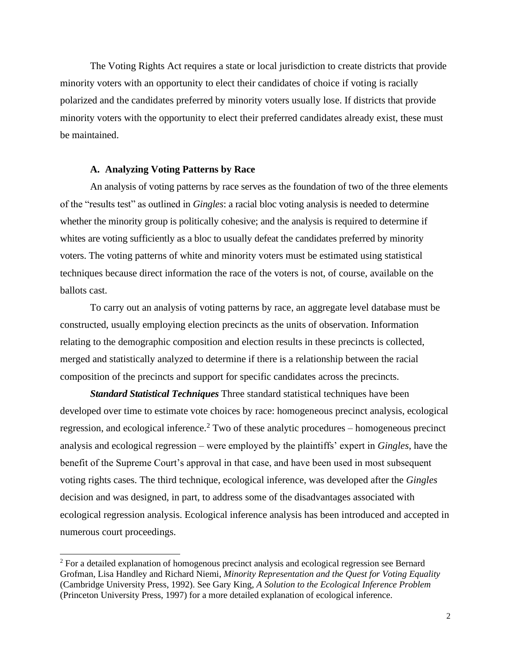The Voting Rights Act requires a state or local jurisdiction to create districts that provide minority voters with an opportunity to elect their candidates of choice if voting is racially polarized and the candidates preferred by minority voters usually lose. If districts that provide minority voters with the opportunity to elect their preferred candidates already exist, these must be maintained.

### **A. Analyzing Voting Patterns by Race**

An analysis of voting patterns by race serves as the foundation of two of the three elements of the "results test" as outlined in *Gingles*: a racial bloc voting analysis is needed to determine whether the minority group is politically cohesive; and the analysis is required to determine if whites are voting sufficiently as a bloc to usually defeat the candidates preferred by minority voters. The voting patterns of white and minority voters must be estimated using statistical techniques because direct information the race of the voters is not, of course, available on the ballots cast.

To carry out an analysis of voting patterns by race, an aggregate level database must be constructed, usually employing election precincts as the units of observation. Information relating to the demographic composition and election results in these precincts is collected, merged and statistically analyzed to determine if there is a relationship between the racial composition of the precincts and support for specific candidates across the precincts.

*Standard Statistical Techniques* Three standard statistical techniques have been developed over time to estimate vote choices by race: homogeneous precinct analysis, ecological regression, and ecological inference.<sup>2</sup> Two of these analytic procedures – homogeneous precinct analysis and ecological regression – were employed by the plaintiffs' expert in *Gingles*, have the benefit of the Supreme Court's approval in that case, and have been used in most subsequent voting rights cases. The third technique, ecological inference, was developed after the *Gingles*  decision and was designed, in part, to address some of the disadvantages associated with ecological regression analysis. Ecological inference analysis has been introduced and accepted in numerous court proceedings.

<sup>2</sup> For a detailed explanation of homogenous precinct analysis and ecological regression see Bernard Grofman, Lisa Handley and Richard Niemi, *Minority Representation and the Quest for Voting Equality*  (Cambridge University Press, 1992). See Gary King, *A Solution to the Ecological Inference Problem* (Princeton University Press, 1997) for a more detailed explanation of ecological inference.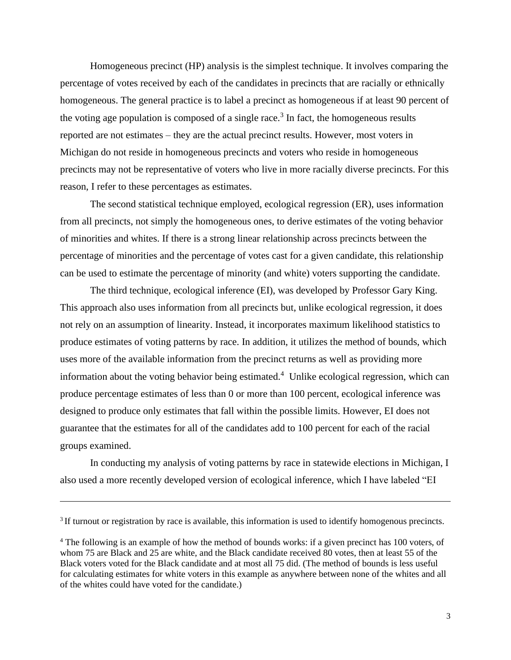Homogeneous precinct (HP) analysis is the simplest technique. It involves comparing the percentage of votes received by each of the candidates in precincts that are racially or ethnically homogeneous. The general practice is to label a precinct as homogeneous if at least 90 percent of the voting age population is composed of a single race.<sup>3</sup> In fact, the homogeneous results reported are not estimates – they are the actual precinct results. However, most voters in Michigan do not reside in homogeneous precincts and voters who reside in homogeneous precincts may not be representative of voters who live in more racially diverse precincts. For this reason, I refer to these percentages as estimates.

The second statistical technique employed, ecological regression (ER), uses information from all precincts, not simply the homogeneous ones, to derive estimates of the voting behavior of minorities and whites. If there is a strong linear relationship across precincts between the percentage of minorities and the percentage of votes cast for a given candidate, this relationship can be used to estimate the percentage of minority (and white) voters supporting the candidate.

The third technique, ecological inference (EI), was developed by Professor Gary King. This approach also uses information from all precincts but, unlike ecological regression, it does not rely on an assumption of linearity. Instead, it incorporates maximum likelihood statistics to produce estimates of voting patterns by race. In addition, it utilizes the method of bounds, which uses more of the available information from the precinct returns as well as providing more information about the voting behavior being estimated.<sup>4</sup> Unlike ecological regression, which can produce percentage estimates of less than 0 or more than 100 percent, ecological inference was designed to produce only estimates that fall within the possible limits. However, EI does not guarantee that the estimates for all of the candidates add to 100 percent for each of the racial groups examined.

In conducting my analysis of voting patterns by race in statewide elections in Michigan, I also used a more recently developed version of ecological inference, which I have labeled "EI

 $3$  If turnout or registration by race is available, this information is used to identify homogenous precincts.

<sup>4</sup> The following is an example of how the method of bounds works: if a given precinct has 100 voters, of whom 75 are Black and 25 are white, and the Black candidate received 80 votes, then at least 55 of the Black voters voted for the Black candidate and at most all 75 did. (The method of bounds is less useful for calculating estimates for white voters in this example as anywhere between none of the whites and all of the whites could have voted for the candidate.)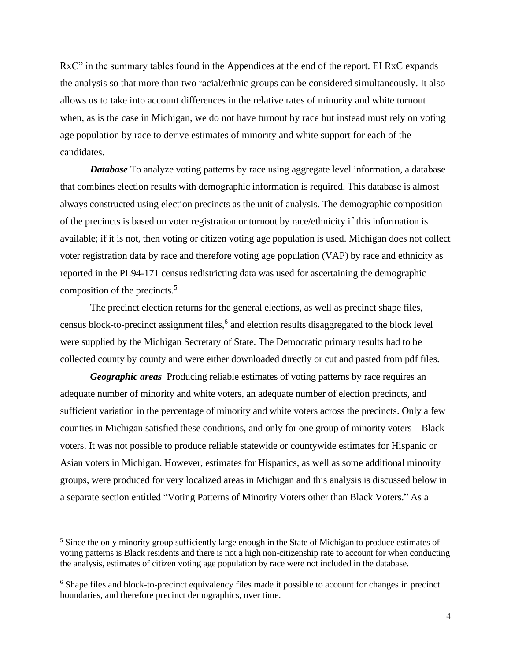RxC" in the summary tables found in the Appendices at the end of the report. EI RxC expands the analysis so that more than two racial/ethnic groups can be considered simultaneously. It also allows us to take into account differences in the relative rates of minority and white turnout when, as is the case in Michigan, we do not have turnout by race but instead must rely on voting age population by race to derive estimates of minority and white support for each of the candidates.

*Database* To analyze voting patterns by race using aggregate level information, a database that combines election results with demographic information is required. This database is almost always constructed using election precincts as the unit of analysis. The demographic composition of the precincts is based on voter registration or turnout by race/ethnicity if this information is available; if it is not, then voting or citizen voting age population is used. Michigan does not collect voter registration data by race and therefore voting age population (VAP) by race and ethnicity as reported in the PL94-171 census redistricting data was used for ascertaining the demographic composition of the precincts.<sup>5</sup>

The precinct election returns for the general elections, as well as precinct shape files, census block-to-precinct assignment files, 6 and election results disaggregated to the block level were supplied by the Michigan Secretary of State. The Democratic primary results had to be collected county by county and were either downloaded directly or cut and pasted from pdf files.

*Geographic areas* Producing reliable estimates of voting patterns by race requires an adequate number of minority and white voters, an adequate number of election precincts, and sufficient variation in the percentage of minority and white voters across the precincts. Only a few counties in Michigan satisfied these conditions, and only for one group of minority voters – Black voters. It was not possible to produce reliable statewide or countywide estimates for Hispanic or Asian voters in Michigan. However, estimates for Hispanics, as well as some additional minority groups, were produced for very localized areas in Michigan and this analysis is discussed below in a separate section entitled "Voting Patterns of Minority Voters other than Black Voters." As a

<sup>&</sup>lt;sup>5</sup> Since the only minority group sufficiently large enough in the State of Michigan to produce estimates of voting patterns is Black residents and there is not a high non-citizenship rate to account for when conducting the analysis, estimates of citizen voting age population by race were not included in the database.

<sup>6</sup> Shape files and block-to-precinct equivalency files made it possible to account for changes in precinct boundaries, and therefore precinct demographics, over time.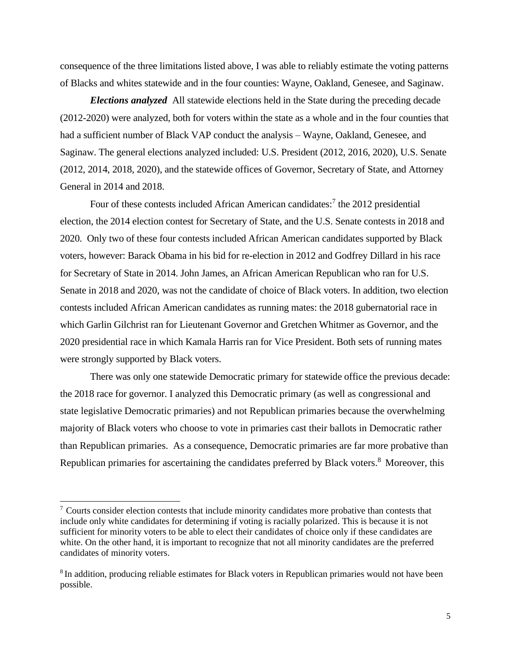consequence of the three limitations listed above, I was able to reliably estimate the voting patterns of Blacks and whites statewide and in the four counties: Wayne, Oakland, Genesee, and Saginaw.

*Elections analyzed* All statewide elections held in the State during the preceding decade (2012-2020) were analyzed, both for voters within the state as a whole and in the four counties that had a sufficient number of Black VAP conduct the analysis – Wayne, Oakland, Genesee, and Saginaw. The general elections analyzed included: U.S. President (2012, 2016, 2020), U.S. Senate (2012, 2014, 2018, 2020), and the statewide offices of Governor, Secretary of State, and Attorney General in 2014 and 2018.

Four of these contests included African American candidates:<sup>7</sup> the 2012 presidential election, the 2014 election contest for Secretary of State, and the U.S. Senate contests in 2018 and 2020. Only two of these four contests included African American candidates supported by Black voters, however: Barack Obama in his bid for re-election in 2012 and Godfrey Dillard in his race for Secretary of State in 2014. John James, an African American Republican who ran for U.S. Senate in 2018 and 2020, was not the candidate of choice of Black voters. In addition, two election contests included African American candidates as running mates: the 2018 gubernatorial race in which Garlin Gilchrist ran for Lieutenant Governor and Gretchen Whitmer as Governor, and the 2020 presidential race in which Kamala Harris ran for Vice President. Both sets of running mates were strongly supported by Black voters.

There was only one statewide Democratic primary for statewide office the previous decade: the 2018 race for governor. I analyzed this Democratic primary (as well as congressional and state legislative Democratic primaries) and not Republican primaries because the overwhelming majority of Black voters who choose to vote in primaries cast their ballots in Democratic rather than Republican primaries. As a consequence, Democratic primaries are far more probative than Republican primaries for ascertaining the candidates preferred by Black voters.<sup>8</sup> Moreover, this

 $\frac{7}{10}$  Courts consider election contests that include minority candidates more probative than contests that include only white candidates for determining if voting is racially polarized. This is because it is not sufficient for minority voters to be able to elect their candidates of choice only if these candidates are white. On the other hand, it is important to recognize that not all minority candidates are the preferred candidates of minority voters.

<sup>&</sup>lt;sup>8</sup> In addition, producing reliable estimates for Black voters in Republican primaries would not have been possible.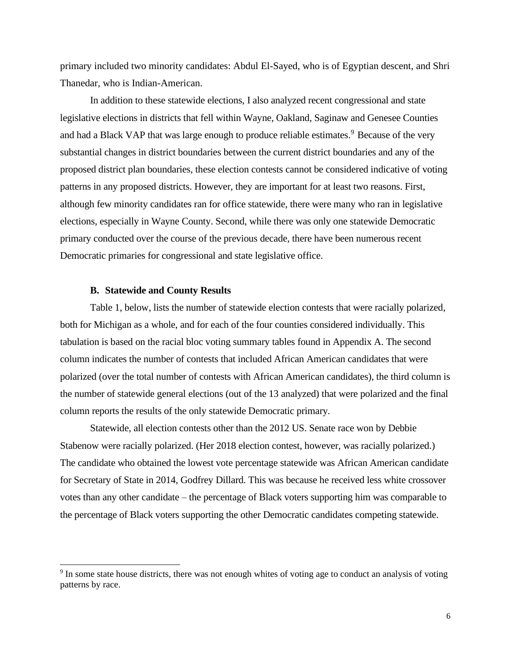primary included two minority candidates: Abdul El-Sayed, who is of Egyptian descent, and Shri Thanedar, who is Indian-American.

In addition to these statewide elections, I also analyzed recent congressional and state legislative elections in districts that fell within Wayne, Oakland, Saginaw and Genesee Counties and had a Black VAP that was large enough to produce reliable estimates.<sup>9</sup> Because of the very substantial changes in district boundaries between the current district boundaries and any of the proposed district plan boundaries, these election contests cannot be considered indicative of voting patterns in any proposed districts. However, they are important for at least two reasons. First, although few minority candidates ran for office statewide, there were many who ran in legislative elections, especially in Wayne County. Second, while there was only one statewide Democratic primary conducted over the course of the previous decade, there have been numerous recent Democratic primaries for congressional and state legislative office.

### **B. Statewide and County Results**

Table 1, below, lists the number of statewide election contests that were racially polarized, both for Michigan as a whole, and for each of the four counties considered individually. This tabulation is based on the racial bloc voting summary tables found in Appendix A. The second column indicates the number of contests that included African American candidates that were polarized (over the total number of contests with African American candidates), the third column is the number of statewide general elections (out of the 13 analyzed) that were polarized and the final column reports the results of the only statewide Democratic primary.

Statewide, all election contests other than the 2012 US. Senate race won by Debbie Stabenow were racially polarized. (Her 2018 election contest, however, was racially polarized.) The candidate who obtained the lowest vote percentage statewide was African American candidate for Secretary of State in 2014, Godfrey Dillard. This was because he received less white crossover votes than any other candidate – the percentage of Black voters supporting him was comparable to the percentage of Black voters supporting the other Democratic candidates competing statewide.

<sup>&</sup>lt;sup>9</sup> In some state house districts, there was not enough whites of voting age to conduct an analysis of voting patterns by race.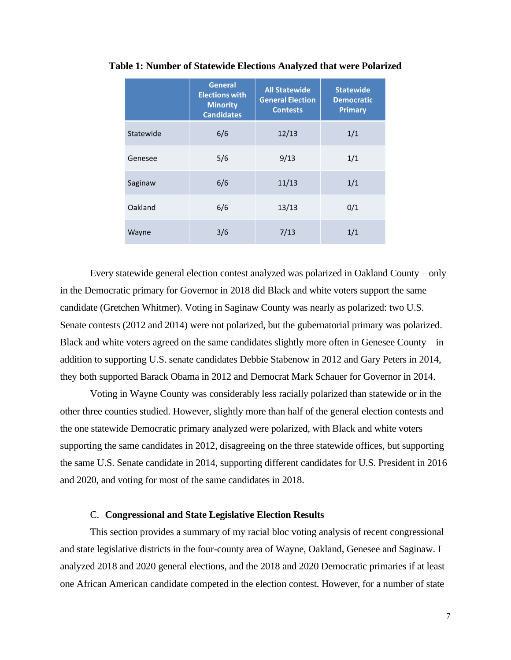|           | <b>General</b><br><b>Elections with</b><br><b>Minority</b><br><b>Candidates</b> | <b>All Statewide</b><br><b>General Election</b><br><b>Contests</b> | <b>Statewide</b><br><b>Democratic</b><br><b>Primary</b> |
|-----------|---------------------------------------------------------------------------------|--------------------------------------------------------------------|---------------------------------------------------------|
| Statewide | 6/6                                                                             | 12/13                                                              | 1/1                                                     |
| Genesee   | 5/6                                                                             | 9/13                                                               | 1/1                                                     |
| Saginaw   | 6/6                                                                             | 11/13                                                              | 1/1                                                     |
| Oakland   | 6/6                                                                             | 13/13                                                              | 0/1                                                     |
| Wayne     | 3/6                                                                             | 7/13                                                               | 1/1                                                     |

**Table 1: Number of Statewide Elections Analyzed that were Polarized**

Every statewide general election contest analyzed was polarized in Oakland County – only in the Democratic primary for Governor in 2018 did Black and white voters support the same candidate (Gretchen Whitmer). Voting in Saginaw County was nearly as polarized: two U.S. Senate contests (2012 and 2014) were not polarized, but the gubernatorial primary was polarized. Black and white voters agreed on the same candidates slightly more often in Genesee County – in addition to supporting U.S. senate candidates Debbie Stabenow in 2012 and Gary Peters in 2014, they both supported Barack Obama in 2012 and Democrat Mark Schauer for Governor in 2014.

Voting in Wayne County was considerably less racially polarized than statewide or in the other three counties studied. However, slightly more than half of the general election contests and the one statewide Democratic primary analyzed were polarized, with Black and white voters supporting the same candidates in 2012, disagreeing on the three statewide offices, but supporting the same U.S. Senate candidate in 2014, supporting different candidates for U.S. President in 2016 and 2020, and voting for most of the same candidates in 2018.

### C. **Congressional and State Legislative Election Results**

This section provides a summary of my racial bloc voting analysis of recent congressional and state legislative districts in the four-county area of Wayne, Oakland, Genesee and Saginaw. I analyzed 2018 and 2020 general elections, and the 2018 and 2020 Democratic primaries if at least one African American candidate competed in the election contest. However, for a number of state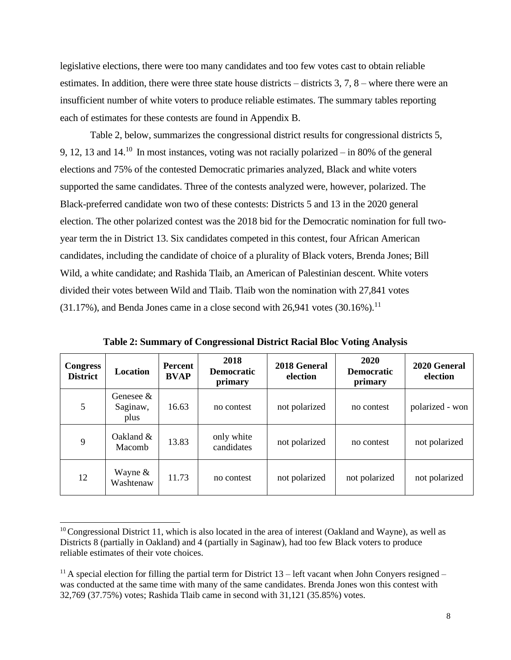legislative elections, there were too many candidates and too few votes cast to obtain reliable estimates. In addition, there were three state house districts – districts 3, 7, 8 – where there were an insufficient number of white voters to produce reliable estimates. The summary tables reporting each of estimates for these contests are found in Appendix B.

Table 2, below, summarizes the congressional district results for congressional districts 5, 9, 12, 13 and 14.<sup>10</sup> In most instances, voting was not racially polarized – in 80% of the general elections and 75% of the contested Democratic primaries analyzed, Black and white voters supported the same candidates. Three of the contests analyzed were, however, polarized. The Black-preferred candidate won two of these contests: Districts 5 and 13 in the 2020 general election. The other polarized contest was the 2018 bid for the Democratic nomination for full twoyear term the in District 13. Six candidates competed in this contest, four African American candidates, including the candidate of choice of a plurality of Black voters, Brenda Jones; Bill Wild, a white candidate; and Rashida Tlaib, an American of Palestinian descent. White voters divided their votes between Wild and Tlaib. Tlaib won the nomination with 27,841 votes  $(31.17\%)$ , and Benda Jones came in a close second with 26,941 votes  $(30.16\%)$ <sup>11</sup>

| <b>Congress</b><br><b>District</b> | <b>Location</b>               | <b>Percent</b><br><b>BVAP</b> | 2018<br><b>Democratic</b><br>primary | 2018 General<br>election | 2020<br><b>Democratic</b><br>primary | 2020 General<br>election |
|------------------------------------|-------------------------------|-------------------------------|--------------------------------------|--------------------------|--------------------------------------|--------------------------|
| 5                                  | Genesee &<br>Saginaw,<br>plus | 16.63                         | no contest                           | not polarized            | no contest                           | polarized - won          |
| 9                                  | Oakland $&$<br>Macomb         | 13.83                         | only white<br>candidates             | not polarized            | no contest                           | not polarized            |
| 12                                 | Wayne $\&$<br>Washtenaw       | 11.73                         | no contest                           | not polarized            | not polarized                        | not polarized            |

**Table 2: Summary of Congressional District Racial Bloc Voting Analysis**

 $10$  Congressional District 11, which is also located in the area of interest (Oakland and Wayne), as well as Districts 8 (partially in Oakland) and 4 (partially in Saginaw), had too few Black voters to produce reliable estimates of their vote choices.

<sup>&</sup>lt;sup>11</sup> A special election for filling the partial term for District  $13$  – left vacant when John Conyers resigned – was conducted at the same time with many of the same candidates. Brenda Jones won this contest with 32,769 (37.75%) votes; Rashida Tlaib came in second with 31,121 (35.85%) votes.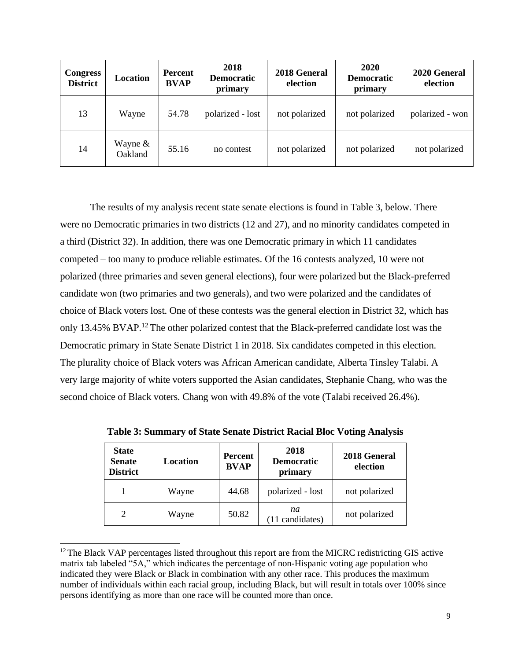| <b>Congress</b><br><b>District</b> | Location             | Percent<br><b>BVAP</b> | 2018<br><b>Democratic</b><br>primary | 2018 General<br>election | <b>2020</b><br><b>Democratic</b><br>primary | 2020 General<br>election |
|------------------------------------|----------------------|------------------------|--------------------------------------|--------------------------|---------------------------------------------|--------------------------|
| 13                                 | Wayne                | 54.78                  | polarized - lost                     | not polarized            | not polarized                               | polarized - won          |
| 14                                 | Wayne $&$<br>Oakland | 55.16                  | no contest                           | not polarized            | not polarized                               | not polarized            |

The results of my analysis recent state senate elections is found in Table 3, below. There were no Democratic primaries in two districts (12 and 27), and no minority candidates competed in a third (District 32). In addition, there was one Democratic primary in which 11 candidates competed – too many to produce reliable estimates. Of the 16 contests analyzed, 10 were not polarized (three primaries and seven general elections), four were polarized but the Black-preferred candidate won (two primaries and two generals), and two were polarized and the candidates of choice of Black voters lost. One of these contests was the general election in District 32, which has only 13.45% BVAP.<sup>12</sup> The other polarized contest that the Black-preferred candidate lost was the Democratic primary in State Senate District 1 in 2018. Six candidates competed in this election. The plurality choice of Black voters was African American candidate, Alberta Tinsley Talabi. A very large majority of white voters supported the Asian candidates, Stephanie Chang, who was the second choice of Black voters. Chang won with 49.8% of the vote (Talabi received 26.4%).

| <b>State</b><br><b>Senate</b><br><b>District</b> | Location | <b>Percent</b><br><b>BVAP</b> | 2018<br><b>Democratic</b><br>primary | 2018 General<br>election |
|--------------------------------------------------|----------|-------------------------------|--------------------------------------|--------------------------|
|                                                  | Wayne    | 44.68                         | polarized - lost                     | not polarized            |
| $\overline{2}$                                   | Wayne    | 50.82                         | na<br>(11 candidates)                | not polarized            |

**Table 3: Summary of State Senate District Racial Bloc Voting Analysis**

 $12$  The Black VAP percentages listed throughout this report are from the MICRC redistricting GIS active matrix tab labeled "5A," which indicates the percentage of non-Hispanic voting age population who indicated they were Black or Black in combination with any other race. This produces the maximum number of individuals within each racial group, including Black, but will result in totals over 100% since persons identifying as more than one race will be counted more than once.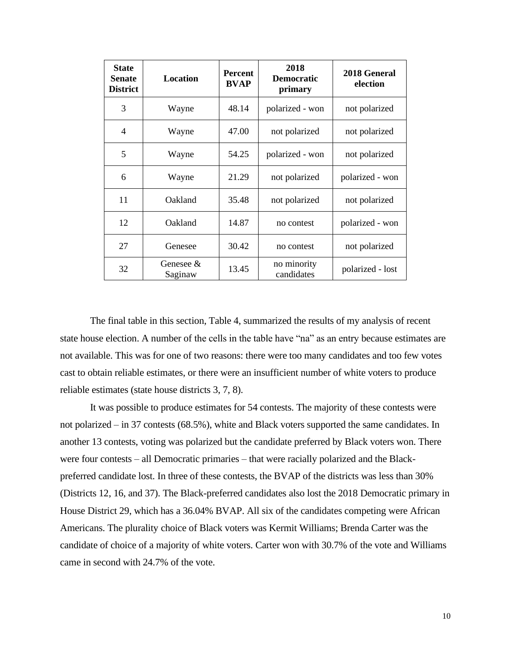| <b>State</b><br><b>Senate</b><br><b>District</b> | <b>Location</b>         | <b>Percent</b><br><b>BVAP</b> |                           | 2018 General<br>election |
|--------------------------------------------------|-------------------------|-------------------------------|---------------------------|--------------------------|
| 3                                                | Wayne                   | 48.14                         | polarized - won           | not polarized            |
| $\overline{4}$                                   | Wayne                   | 47.00                         | not polarized             | not polarized            |
| 5                                                | Wayne                   | 54.25                         | polarized - won           | not polarized            |
| 6                                                | Wayne                   | 21.29                         | not polarized             | polarized - won          |
| 11                                               | Oakland                 | 35.48                         | not polarized             | not polarized            |
| 12                                               | Oakland                 | 14.87                         | no contest                | polarized - won          |
| 27                                               | Genesee                 | 30.42                         | no contest                | not polarized            |
| 32                                               | Genesee $\&$<br>Saginaw | 13.45                         | no minority<br>candidates | polarized - lost         |

The final table in this section, Table 4, summarized the results of my analysis of recent state house election. A number of the cells in the table have "na" as an entry because estimates are not available. This was for one of two reasons: there were too many candidates and too few votes cast to obtain reliable estimates, or there were an insufficient number of white voters to produce reliable estimates (state house districts 3, 7, 8).

It was possible to produce estimates for 54 contests. The majority of these contests were not polarized – in 37 contests (68.5%), white and Black voters supported the same candidates. In another 13 contests, voting was polarized but the candidate preferred by Black voters won. There were four contests – all Democratic primaries – that were racially polarized and the Blackpreferred candidate lost. In three of these contests, the BVAP of the districts was less than 30% (Districts 12, 16, and 37). The Black-preferred candidates also lost the 2018 Democratic primary in House District 29, which has a 36.04% BVAP. All six of the candidates competing were African Americans. The plurality choice of Black voters was Kermit Williams; Brenda Carter was the candidate of choice of a majority of white voters. Carter won with 30.7% of the vote and Williams came in second with 24.7% of the vote.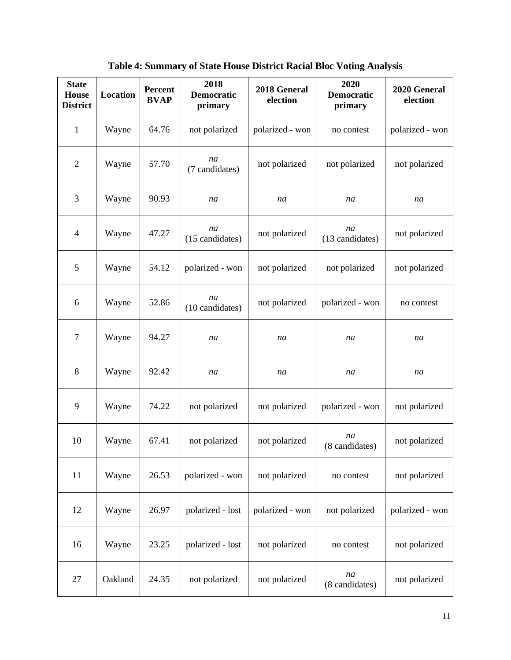| <b>State</b><br><b>House</b><br><b>District</b> | Location | <b>Percent</b><br><b>BVAP</b> | 2018<br><b>Democratic</b><br>primary | 2018 General<br>election | 2020<br><b>Democratic</b><br>primary | 2020 General<br>election |
|-------------------------------------------------|----------|-------------------------------|--------------------------------------|--------------------------|--------------------------------------|--------------------------|
| $\mathbf{1}$                                    | Wayne    | 64.76                         | not polarized                        | polarized - won          | no contest                           | polarized - won          |
| $\overline{2}$                                  | Wayne    | 57.70                         | na<br>(7 candidates)                 | not polarized            | not polarized                        | not polarized            |
| 3                                               | Wayne    | 90.93                         | na                                   | na                       | na                                   | na                       |
| $\overline{4}$                                  | Wayne    | 47.27                         | na<br>(15 candidates)                | not polarized            | na<br>(13 candidates)                | not polarized            |
| 5                                               | Wayne    | 54.12                         | polarized - won                      | not polarized            | not polarized                        | not polarized            |
| 6                                               | Wayne    | 52.86                         | na<br>(10 candidates)                | not polarized            | polarized - won                      | no contest               |
| $\overline{7}$                                  | Wayne    | 94.27                         | na                                   | na                       | na                                   | na                       |
| 8                                               | Wayne    | 92.42                         | na                                   | na                       | na                                   | na                       |
| 9                                               | Wayne    | 74.22                         | not polarized                        | not polarized            | polarized - won                      | not polarized            |
| 10                                              | Wayne    | 67.41                         | not polarized                        | not polarized            | na<br>(8 candidates)                 | not polarized            |
| 11                                              | Wayne    | 26.53                         | polarized - won                      | not polarized            | no contest                           | not polarized            |
| 12                                              | Wayne    | 26.97                         | polarized - lost                     | polarized - won          | not polarized                        | polarized - won          |
| 16                                              | Wayne    | 23.25                         | polarized - lost                     | not polarized            | no contest                           | not polarized            |
| 27                                              | Oakland  | 24.35                         | not polarized                        | not polarized            | na<br>(8 candidates)                 | not polarized            |

**Table 4: Summary of State House District Racial Bloc Voting Analysis**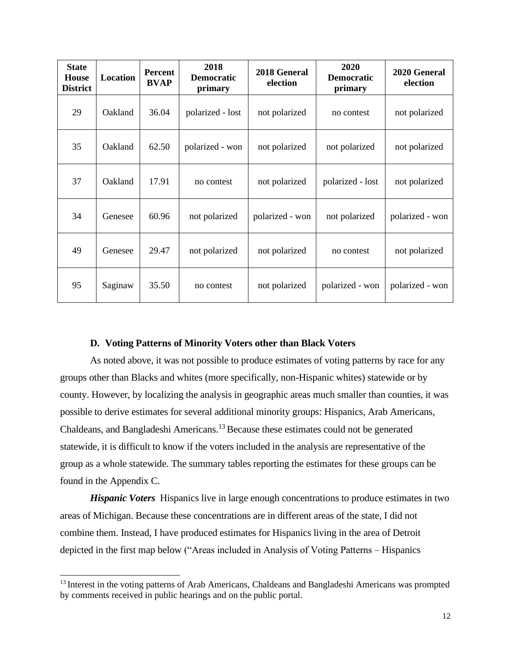| <b>State</b><br><b>House</b><br><b>District</b> | Location | <b>Percent</b><br><b>BVAP</b> | 2018<br><b>Democratic</b><br>primary | 2018 General<br>election | 2020<br><b>Democratic</b><br>primary | 2020 General<br>election |
|-------------------------------------------------|----------|-------------------------------|--------------------------------------|--------------------------|--------------------------------------|--------------------------|
| 29                                              | Oakland  | 36.04                         | polarized - lost                     | not polarized            | no contest                           | not polarized            |
| 35                                              | Oakland  | 62.50                         | polarized - won                      | not polarized            | not polarized                        | not polarized            |
| 37                                              | Oakland  | 17.91                         | no contest                           | not polarized            | polarized - lost                     | not polarized            |
| 34                                              | Genesee  | 60.96                         | not polarized                        | polarized - won          | not polarized                        | polarized - won          |
| 49                                              | Genesee  | 29.47                         | not polarized                        | not polarized            | no contest                           | not polarized            |
| 95                                              | Saginaw  | 35.50                         | no contest                           | not polarized            | polarized - won                      | polarized - won          |

### **D. Voting Patterns of Minority Voters other than Black Voters**

As noted above, it was not possible to produce estimates of voting patterns by race for any groups other than Blacks and whites (more specifically, non-Hispanic whites) statewide or by county. However, by localizing the analysis in geographic areas much smaller than counties, it was possible to derive estimates for several additional minority groups: Hispanics, Arab Americans, Chaldeans, and Bangladeshi Americans.<sup>13</sup>Because these estimates could not be generated statewide, it is difficult to know if the voters included in the analysis are representative of the group as a whole statewide. The summary tables reporting the estimates for these groups can be found in the Appendix C.

*Hispanic Voters* Hispanics live in large enough concentrations to produce estimates in two areas of Michigan. Because these concentrations are in different areas of the state, I did not combine them. Instead, I have produced estimates for Hispanics living in the area of Detroit depicted in the first map below ("Areas included in Analysis of Voting Patterns – Hispanics

<sup>&</sup>lt;sup>13</sup> Interest in the voting patterns of Arab Americans, Chaldeans and Bangladeshi Americans was prompted by comments received in public hearings and on the public portal.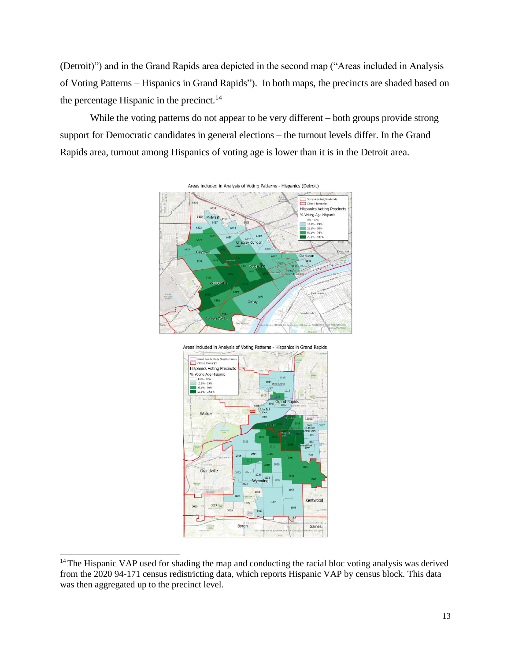(Detroit)") and in the Grand Rapids area depicted in the second map ("Areas included in Analysis of Voting Patterns – Hispanics in Grand Rapids"). In both maps, the precincts are shaded based on the percentage Hispanic in the precinct. $14$ 

While the voting patterns do not appear to be very different – both groups provide strong support for Democratic candidates in general elections – the turnout levels differ. In the Grand Rapids area, turnout among Hispanics of voting age is lower than it is in the Detroit area.







<sup>&</sup>lt;sup>14</sup> The Hispanic VAP used for shading the map and conducting the racial bloc voting analysis was derived from the 2020 94-171 census redistricting data, which reports Hispanic VAP by census block. This data was then aggregated up to the precinct level.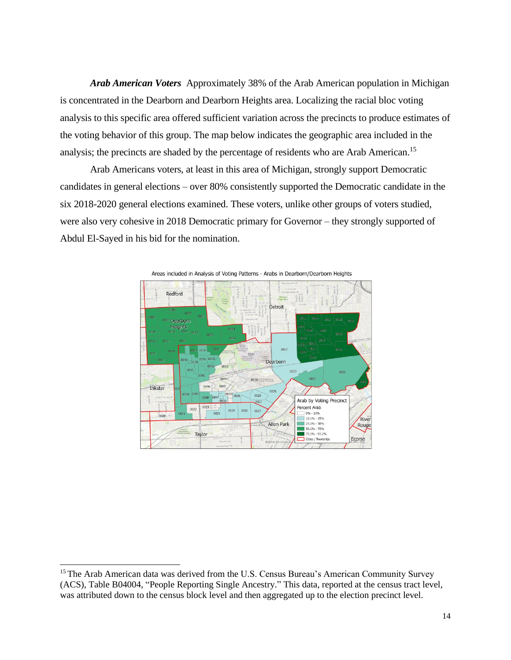*Arab American Voters* Approximately 38% of the Arab American population in Michigan is concentrated in the Dearborn and Dearborn Heights area. Localizing the racial bloc voting analysis to this specific area offered sufficient variation across the precincts to produce estimates of the voting behavior of this group. The map below indicates the geographic area included in the analysis; the precincts are shaded by the percentage of residents who are Arab American.<sup>15</sup>

Arab Americans voters, at least in this area of Michigan, strongly support Democratic candidates in general elections – over 80% consistently supported the Democratic candidate in the six 2018-2020 general elections examined. These voters, unlike other groups of voters studied, were also very cohesive in 2018 Democratic primary for Governor – they strongly supported of Abdul El-Sayed in his bid for the nomination.



Areas included in Analysis of Voting Patterns - Arabs in Dearborn/Dearborn Heights

<sup>&</sup>lt;sup>15</sup> The Arab American data was derived from the U.S. Census Bureau's American Community Survey (ACS), Table B04004, "People Reporting Single Ancestry." This data, reported at the census tract level, was attributed down to the census block level and then aggregated up to the election precinct level.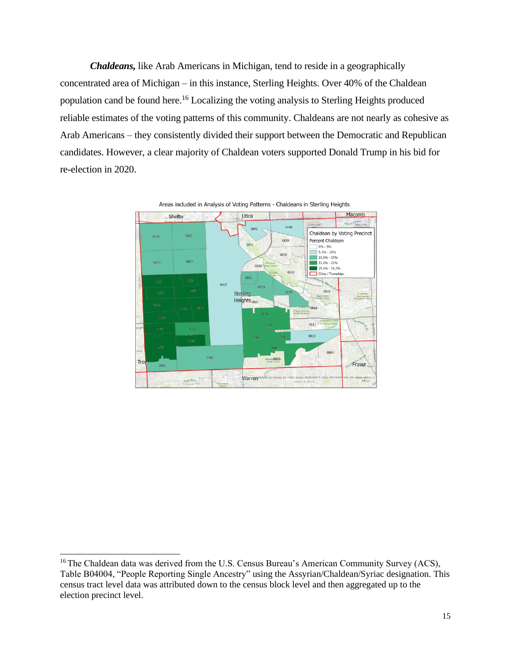*Chaldeans,* like Arab Americans in Michigan, tend to reside in a geographically concentrated area of Michigan – in this instance, Sterling Heights. Over 40% of the Chaldean population cand be found here.<sup>16</sup> Localizing the voting analysis to Sterling Heights produced reliable estimates of the voting patterns of this community. Chaldeans are not nearly as cohesive as Arab Americans – they consistently divided their support between the Democratic and Republican candidates. However, a clear majority of Chaldean voters supported Donald Trump in his bid for re-election in 2020.



<sup>&</sup>lt;sup>16</sup> The Chaldean data was derived from the U.S. Census Bureau's American Community Survey (ACS), Table B04004, "People Reporting Single Ancestry" using the Assyrian/Chaldean/Syriac designation. This census tract level data was attributed down to the census block level and then aggregated up to the election precinct level.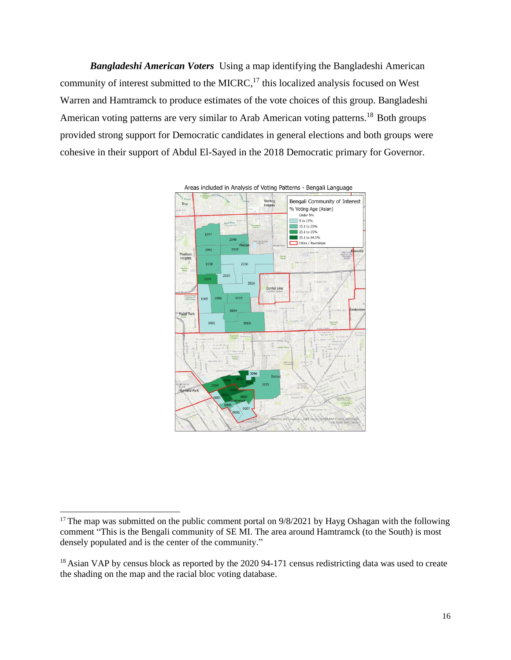*Bangladeshi American Voters* Using a map identifying the Bangladeshi American community of interest submitted to the MICRC, $^{17}$  this localized analysis focused on West Warren and Hamtramck to produce estimates of the vote choices of this group. Bangladeshi American voting patterns are very similar to Arab American voting patterns.<sup>18</sup> Both groups provided strong support for Democratic candidates in general elections and both groups were cohesive in their support of Abdul El-Sayed in the 2018 Democratic primary for Governor.



<sup>&</sup>lt;sup>17</sup> The map was submitted on the public comment portal on  $9/8/2021$  by Hayg Oshagan with the following comment "This is the Bengali community of SE MI. The area around Hamtramck (to the South) is most densely populated and is the center of the community."

<sup>&</sup>lt;sup>18</sup> Asian VAP by census block as reported by the 2020 94-171 census redistricting data was used to create the shading on the map and the racial bloc voting database.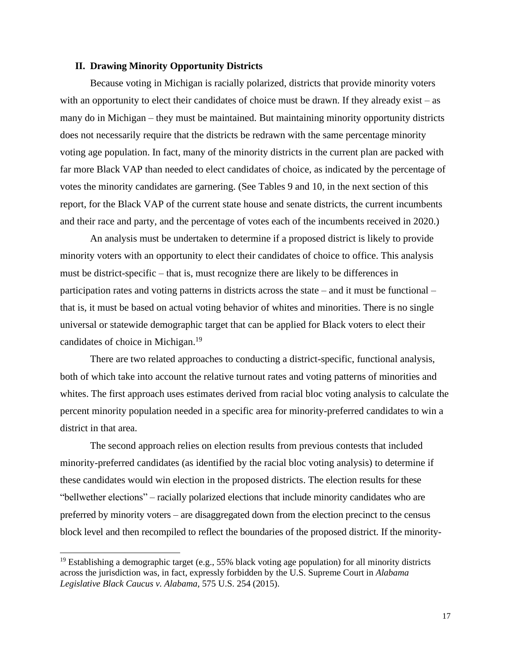### **II. Drawing Minority Opportunity Districts**

Because voting in Michigan is racially polarized, districts that provide minority voters with an opportunity to elect their candidates of choice must be drawn. If they already exist – as many do in Michigan – they must be maintained. But maintaining minority opportunity districts does not necessarily require that the districts be redrawn with the same percentage minority voting age population. In fact, many of the minority districts in the current plan are packed with far more Black VAP than needed to elect candidates of choice, as indicated by the percentage of votes the minority candidates are garnering. (See Tables 9 and 10, in the next section of this report, for the Black VAP of the current state house and senate districts, the current incumbents and their race and party, and the percentage of votes each of the incumbents received in 2020.)

An analysis must be undertaken to determine if a proposed district is likely to provide minority voters with an opportunity to elect their candidates of choice to office. This analysis must be district-specific – that is, must recognize there are likely to be differences in participation rates and voting patterns in districts across the state – and it must be functional – that is, it must be based on actual voting behavior of whites and minorities. There is no single universal or statewide demographic target that can be applied for Black voters to elect their candidates of choice in Michigan.<sup>19</sup>

There are two related approaches to conducting a district-specific, functional analysis, both of which take into account the relative turnout rates and voting patterns of minorities and whites. The first approach uses estimates derived from racial bloc voting analysis to calculate the percent minority population needed in a specific area for minority-preferred candidates to win a district in that area.

The second approach relies on election results from previous contests that included minority-preferred candidates (as identified by the racial bloc voting analysis) to determine if these candidates would win election in the proposed districts. The election results for these "bellwether elections" – racially polarized elections that include minority candidates who are preferred by minority voters – are disaggregated down from the election precinct to the census block level and then recompiled to reflect the boundaries of the proposed district. If the minority-

<sup>&</sup>lt;sup>19</sup> Establishing a demographic target (e.g., 55% black voting age population) for all minority districts across the jurisdiction was, in fact, expressly forbidden by the U.S. Supreme Court in *Alabama Legislative Black Caucus v. Alabama,* 575 U.S. 254 (2015).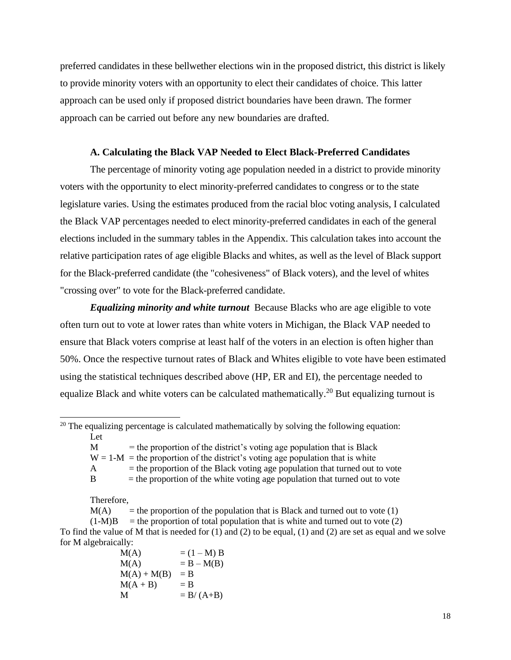preferred candidates in these bellwether elections win in the proposed district, this district is likely to provide minority voters with an opportunity to elect their candidates of choice. This latter approach can be used only if proposed district boundaries have been drawn. The former approach can be carried out before any new boundaries are drafted.

### **A. Calculating the Black VAP Needed to Elect Black-Preferred Candidates**

The percentage of minority voting age population needed in a district to provide minority voters with the opportunity to elect minority-preferred candidates to congress or to the state legislature varies. Using the estimates produced from the racial bloc voting analysis, I calculated the Black VAP percentages needed to elect minority-preferred candidates in each of the general elections included in the summary tables in the Appendix. This calculation takes into account the relative participation rates of age eligible Blacks and whites, as well as the level of Black support for the Black-preferred candidate (the "cohesiveness" of Black voters), and the level of whites "crossing over" to vote for the Black-preferred candidate.

*Equalizing minority and white turnout* Because Blacks who are age eligible to vote often turn out to vote at lower rates than white voters in Michigan, the Black VAP needed to ensure that Black voters comprise at least half of the voters in an election is often higher than 50%. Once the respective turnout rates of Black and Whites eligible to vote have been estimated using the statistical techniques described above (HP, ER and EI), the percentage needed to equalize Black and white voters can be calculated mathematically.<sup>20</sup> But equalizing turnout is

 $M =$  the proportion of the district's voting age population that is Black

 $W = 1-M$  = the proportion of the district's voting age population that is white

 $A =$  the proportion of the Black voting age population that turned out to vote

 $B =$  the proportion of the white voting age population that turned out to vote

Therefore,

 $M(A)$  = the proportion of the population that is Black and turned out to vote (1)

 $(1-M)B$  = the proportion of total population that is white and turned out to vote (2)

To find the value of M that is needed for (1) and (2) to be equal, (1) and (2) are set as equal and we solve for M algebraically:

 $M(A)$  =  $(1 - M) B$  $M(A)$  = B –  $M(B)$  $M(A) + M(B) = B$  $M(A + B)$  = B  $M = B/(A+B)$ 

 $20$  The equalizing percentage is calculated mathematically by solving the following equation: Let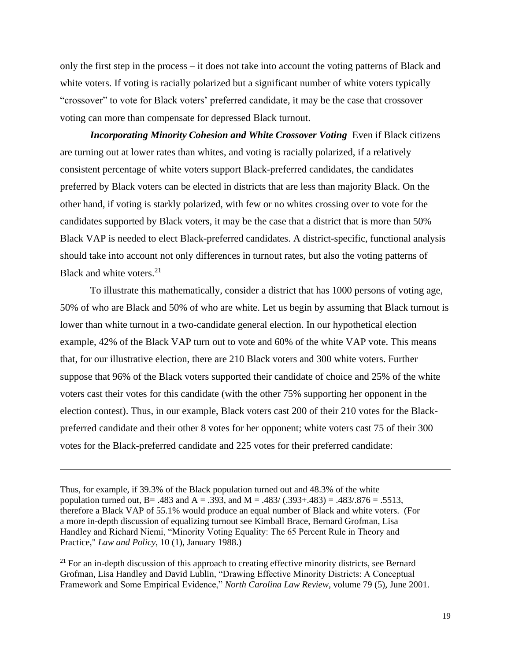only the first step in the process – it does not take into account the voting patterns of Black and white voters. If voting is racially polarized but a significant number of white voters typically "crossover" to vote for Black voters' preferred candidate, it may be the case that crossover voting can more than compensate for depressed Black turnout.

*Incorporating Minority Cohesion and White Crossover Voting* Even if Black citizens are turning out at lower rates than whites, and voting is racially polarized, if a relatively consistent percentage of white voters support Black-preferred candidates, the candidates preferred by Black voters can be elected in districts that are less than majority Black. On the other hand, if voting is starkly polarized, with few or no whites crossing over to vote for the candidates supported by Black voters, it may be the case that a district that is more than 50% Black VAP is needed to elect Black-preferred candidates. A district-specific, functional analysis should take into account not only differences in turnout rates, but also the voting patterns of Black and white voters.<sup>21</sup>

To illustrate this mathematically, consider a district that has 1000 persons of voting age, 50% of who are Black and 50% of who are white. Let us begin by assuming that Black turnout is lower than white turnout in a two-candidate general election. In our hypothetical election example, 42% of the Black VAP turn out to vote and 60% of the white VAP vote. This means that, for our illustrative election, there are 210 Black voters and 300 white voters. Further suppose that 96% of the Black voters supported their candidate of choice and 25% of the white voters cast their votes for this candidate (with the other 75% supporting her opponent in the election contest). Thus, in our example, Black voters cast 200 of their 210 votes for the Blackpreferred candidate and their other 8 votes for her opponent; white voters cast 75 of their 300 votes for the Black-preferred candidate and 225 votes for their preferred candidate:

<sup>21</sup> For an in-depth discussion of this approach to creating effective minority districts, see Bernard Grofman, Lisa Handley and David Lublin, "Drawing Effective Minority Districts: A Conceptual Framework and Some Empirical Evidence," *North Carolina Law Review*, volume 79 (5), June 2001.

Thus, for example, if 39.3% of the Black population turned out and 48.3% of the white population turned out, B = .483 and A = .393, and M = .483/  $(.393 + .483) = .483/876 = .5513$ , therefore a Black VAP of 55.1% would produce an equal number of Black and white voters. (For a more in-depth discussion of equalizing turnout see Kimball Brace, Bernard Grofman, Lisa Handley and Richard Niemi, "Minority Voting Equality: The 65 Percent Rule in Theory and Practice," *Law and Policy*, 10 (1), January 1988.)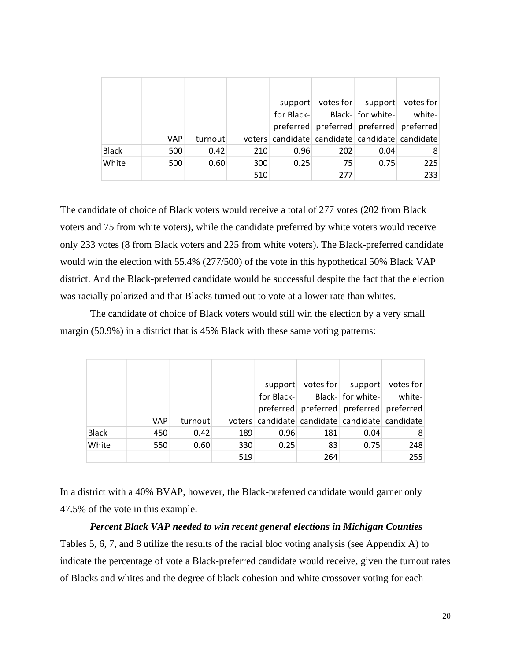|              |     |         |     | support                                        |                                         | votes for $ $ support    | votes for |
|--------------|-----|---------|-----|------------------------------------------------|-----------------------------------------|--------------------------|-----------|
|              |     |         |     | for Black-                                     |                                         | Black- for white- white- |           |
|              |     |         |     |                                                | preferred preferred preferred preferred |                          |           |
|              | VAP | turnout |     | voters candidate candidate candidate candidate |                                         |                          |           |
| <b>Black</b> | 500 | 0.42    | 210 | 0.96                                           | 202                                     | 0.04                     | 8         |
| White        | 500 | 0.60    | 300 | 0.25                                           | 75                                      | 0.75                     | 225       |
|              |     |         | 510 |                                                | 277                                     |                          | 233       |

The candidate of choice of Black voters would receive a total of 277 votes (202 from Black voters and 75 from white voters), while the candidate preferred by white voters would receive only 233 votes (8 from Black voters and 225 from white voters). The Black-preferred candidate would win the election with 55.4% (277/500) of the vote in this hypothetical 50% Black VAP district. And the Black-preferred candidate would be successful despite the fact that the election was racially polarized and that Blacks turned out to vote at a lower rate than whites.

The candidate of choice of Black voters would still win the election by a very small margin (50.9%) in a district that is 45% Black with these same voting patterns:

|              |     |         |     | support    |     | votes for $ $ support | votes for                                      |
|--------------|-----|---------|-----|------------|-----|-----------------------|------------------------------------------------|
|              |     |         |     | for Black- |     | Black- for white-     | white-                                         |
|              |     |         |     |            |     |                       | preferred   preferred   preferred   preferred  |
|              | VAP | turnout |     |            |     |                       | voters candidate candidate candidate candidate |
| <b>Black</b> | 450 | 0.42    | 189 | 0.96       | 181 | 0.04                  | 8                                              |
| White        | 550 | 0.60    | 330 | 0.25       | 83  | 0.75                  | 248                                            |
|              |     |         | 519 |            | 264 |                       | 255                                            |

In a district with a 40% BVAP, however, the Black-preferred candidate would garner only 47.5% of the vote in this example.

#### *Percent Black VAP needed to win recent general elections in Michigan Counties*

Tables 5, 6, 7, and 8 utilize the results of the racial bloc voting analysis (see Appendix A) to indicate the percentage of vote a Black-preferred candidate would receive, given the turnout rates of Blacks and whites and the degree of black cohesion and white crossover voting for each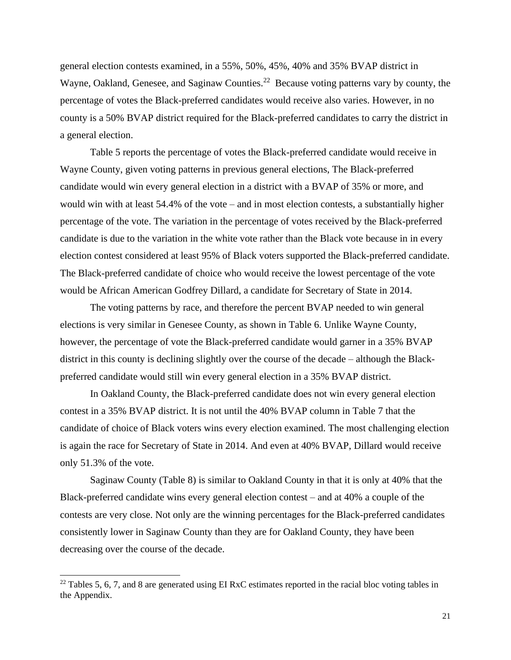general election contests examined, in a 55%, 50%, 45%, 40% and 35% BVAP district in Wayne, Oakland, Genesee, and Saginaw Counties.<sup>22</sup> Because voting patterns vary by county, the percentage of votes the Black-preferred candidates would receive also varies. However, in no county is a 50% BVAP district required for the Black-preferred candidates to carry the district in a general election.

Table 5 reports the percentage of votes the Black-preferred candidate would receive in Wayne County, given voting patterns in previous general elections, The Black-preferred candidate would win every general election in a district with a BVAP of 35% or more, and would win with at least 54.4% of the vote – and in most election contests, a substantially higher percentage of the vote. The variation in the percentage of votes received by the Black-preferred candidate is due to the variation in the white vote rather than the Black vote because in in every election contest considered at least 95% of Black voters supported the Black-preferred candidate. The Black-preferred candidate of choice who would receive the lowest percentage of the vote would be African American Godfrey Dillard, a candidate for Secretary of State in 2014.

The voting patterns by race, and therefore the percent BVAP needed to win general elections is very similar in Genesee County, as shown in Table 6. Unlike Wayne County, however, the percentage of vote the Black-preferred candidate would garner in a 35% BVAP district in this county is declining slightly over the course of the decade – although the Blackpreferred candidate would still win every general election in a 35% BVAP district.

In Oakland County, the Black-preferred candidate does not win every general election contest in a 35% BVAP district. It is not until the 40% BVAP column in Table 7 that the candidate of choice of Black voters wins every election examined. The most challenging election is again the race for Secretary of State in 2014. And even at 40% BVAP, Dillard would receive only 51.3% of the vote.

Saginaw County (Table 8) is similar to Oakland County in that it is only at 40% that the Black-preferred candidate wins every general election contest – and at 40% a couple of the contests are very close. Not only are the winning percentages for the Black-preferred candidates consistently lower in Saginaw County than they are for Oakland County, they have been decreasing over the course of the decade.

 $22$  Tables 5, 6, 7, and 8 are generated using EI RxC estimates reported in the racial bloc voting tables in the Appendix.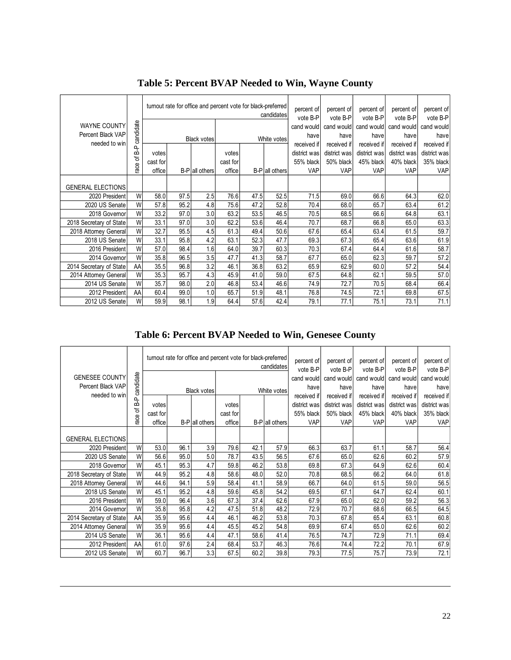|                          |           |          |      |                    |          | turnout rate for office and percent vote for black-preferred<br>candidates |                |                        | percent of<br>percent of<br>vote B-P | percent of<br>vote B-P | percent of<br>vote B-P | percent of<br>vote B-P |
|--------------------------|-----------|----------|------|--------------------|----------|----------------------------------------------------------------------------|----------------|------------------------|--------------------------------------|------------------------|------------------------|------------------------|
| WAYNE COUNTY             |           |          |      |                    |          |                                                                            |                | vote B-P<br>cand would | cand would                           | cand would             | cand would             | cand would             |
| Percent Black VAP        | candidate |          |      |                    |          |                                                                            |                | havel                  | have                                 | have                   | have                   | have                   |
| needed to win            |           |          |      | <b>Black votes</b> |          |                                                                            | White votes    | received if            | received if                          | received if            | received if            | received if            |
|                          | 움         | votes    |      |                    | votes    |                                                                            |                | district was           | district was                         | district was           | district was           | district was           |
|                          | ᡃᡃᡖ       | cast for |      |                    | cast for |                                                                            |                | 55% black              | 50% black                            | 45% black              | 40% black              | 35% black              |
|                          | race      | office   |      | B-P all others     | office   |                                                                            | B-P all others | <b>VAP</b>             | <b>VAP</b>                           | <b>VAP</b>             | <b>VAP</b>             | VAP                    |
| <b>GENERAL ELECTIONS</b> |           |          |      |                    |          |                                                                            |                |                        |                                      |                        |                        |                        |
| 2020 President           | W         | 58.0     | 97.5 | 2.5                | 76.6     | 47.5                                                                       | 52.5           | 71.5                   | 69.0                                 | 66.6                   | 64.3                   | 62.0                   |
| 2020 US Senate           | W         | 57.8     | 95.2 | 4.8                | 75.6     | 47.2                                                                       | 52.8           | 70.4                   | 68.0                                 | 65.7                   | 63.4                   | 61.2                   |
| 2018 Governor            | W         | 33.2     | 97.0 | 3.0                | 63.2     | 53.5                                                                       | 46.5           | 70.5                   | 68.5                                 | 66.6                   | 64.8                   | 63.1                   |
| 2018 Secretary of State  | W         | 33.1     | 97.0 | 3.0                | 62.2     | 53.6                                                                       | 46.4           | 70.7                   | 68.7                                 | 66.8                   | 65.0                   | 63.3                   |
| 2018 Attorney General    | W         | 32.7     | 95.5 | 4.5                | 61.3     | 49.4                                                                       | 50.6           | 67.6                   | 65.4                                 | 63.4                   | 61.5                   | 59.7                   |
| 2018 US Senate           | W         | 33.1     | 95.8 | 4.2                | 63.1     | 52.3                                                                       | 47.7           | 69.3                   | 67.3                                 | 65.4                   | 63.6                   | 61.9                   |
| 2016 President           | W         | 57.0     | 98.4 | 1.6                | 64.0     | 39.7                                                                       | 60.3           | 70.3                   | 67.4                                 | 64.4                   | 61.6                   | 58.7                   |
| 2014 Governor            | W         | 35.8     | 96.5 | 3.5                | 47.7     | 41.3                                                                       | 58.7           | 67.7                   | 65.0                                 | 62.3                   | 59.7                   | 57.2                   |
| 2014 Secretary of State  | AA        | 35.5     | 96.8 | 3.2                | 46.1     | 36.8                                                                       | 63.2           | 65.9                   | 62.9                                 | 60.0                   | 57.2                   | 54.4                   |
| 2014 Attorney General    | W         | 35.3     | 95.7 | 4.3                | 45.9     | 41.0                                                                       | 59.0           | 67.5                   | 64.8                                 | 62.1                   | 59.5                   | 57.0                   |
| 2014 US Senate           | W         | 35.7     | 98.0 | 2.0                | 46.8     | 53.4                                                                       | 46.6           | 74.9                   | 72.7                                 | 70.5                   | 68.4                   | 66.4                   |
| 2012 President           | AA        | 60.4     | 99.0 | 1.0                | 65.7     | 51.9                                                                       | 48.1           | 76.8                   | 74.5                                 | 72.1                   | 69.8                   | 67.5                   |
| 2012 US Senate           | W         | 59.9     | 98.1 | 1.9                | 64.4     | 57.6                                                                       | 42.4           | 79.1                   | 77.1                                 | 75.1                   | 73.1                   | 71.1                   |

## **Table 5: Percent BVAP Needed to Win, Wayne County**

## **Table 6: Percent BVAP Needed to Win, Genesee County**

|                          |           |          |      |                |          | turnout rate for office and percent vote for black-preferred<br>candidates |                       |                        | percent of<br>percent of<br>vote B-P | percent of<br>vote B-P | percent of<br>vote B-P | percent of<br>vote B-P |
|--------------------------|-----------|----------|------|----------------|----------|----------------------------------------------------------------------------|-----------------------|------------------------|--------------------------------------|------------------------|------------------------|------------------------|
| <b>GENESEE COUNTY</b>    |           |          |      |                |          |                                                                            |                       | vote B-P<br>cand would | cand would                           | cand would             | cand would             | cand would             |
| Percent Black VAP        | candidate |          |      |                |          |                                                                            |                       | have                   | have                                 | have                   | have                   | have                   |
| needed to win            |           |          |      | Black votes    |          |                                                                            | White votes           | received if            | received if                          | received if            | received if            | received if            |
|                          | 운         | votes    |      |                | votes    |                                                                            |                       | district was           | district was                         | district was           | district was           | district was           |
|                          | ৳         | cast for |      |                | cast for |                                                                            |                       | 55% black              | 50% black                            | 45% black              | 40% black              | 35% black              |
|                          | race      | office   |      | B-P all others | office   |                                                                            | <b>B-P</b> all others | <b>VAP</b>             | VAP                                  | VAP                    | <b>VAP</b>             | VAP                    |
| <b>GENERAL ELECTIONS</b> |           |          |      |                |          |                                                                            |                       |                        |                                      |                        |                        |                        |
| 2020 President           | W         | 53.0     | 96.1 | 3.9            | 79.6     | 42.1                                                                       | 57.9                  | 66.3                   | 63.7                                 | 61.1                   | 58.7                   | 56.4                   |
| 2020 US Senate           | W         | 56.6     | 95.0 | 5.0            | 78.7     | 43.5                                                                       | 56.5                  | 67.6                   | 65.0                                 | 62.6                   | 60.2                   | 57.9                   |
| 2018 Governor            | W         | 45.1     | 95.3 | 4.7            | 59.8     | 46.2                                                                       | 53.8                  | 69.8                   | 67.3                                 | 64.9                   | 62.6                   | 60.4                   |
| 2018 Secretary of State  | W         | 44.9     | 95.2 | 4.8            | 58.6     | 48.0                                                                       | 52.0                  | 70.8                   | 68.5                                 | 66.2                   | 64.0                   | 61.8                   |
| 2018 Attorney General    | W         | 44.6     | 94.1 | 5.9            | 58.4     | 41.1                                                                       | 58.9                  | 66.7                   | 64.0                                 | 61.5                   | 59.0                   | 56.5                   |
| 2018 US Senate           | W         | 45.1     | 95.2 | 4.8            | 59.6     | 45.8                                                                       | 54.2                  | 69.5                   | 67.1                                 | 64.7                   | 62.4                   | 60.1                   |
| 2016 President           | W         | 59.0     | 96.4 | 3.6            | 67.3     | 37.4                                                                       | 62.6                  | 67.9                   | 65.0                                 | 62.0                   | 59.2                   | 56.3                   |
| 2014 Governor            | W         | 35.8     | 95.8 | 4.2            | 47.5     | 51.8                                                                       | 48.2                  | 72.9                   | 70.7                                 | 68.6                   | 66.5                   | 64.5                   |
| 2014 Secretary of State  | AA        | 35.9     | 95.6 | 4.4            | 46.1     | 46.2                                                                       | 53.8                  | 70.3                   | 67.8                                 | 65.4                   | 63.1                   | 60.8                   |
| 2014 Attorney General    | W         | 35.9     | 95.6 | 4.4            | 45.5     | 45.2                                                                       | 54.8                  | 69.9                   | 67.4                                 | 65.0                   | 62.6                   | 60.2                   |
| 2014 US Senate           | W         | 36.1     | 95.6 | 4.4            | 47.1     | 58.6                                                                       | 41.4                  | 76.5                   | 74.7                                 | 72.9                   | 71.1                   | 69.4                   |
| 2012 President           | AA        | 61.0     | 97.6 | 2.4            | 68.4     | 53.7                                                                       | 46.3                  | 76.6                   | 74.4                                 | 72.2                   | 70.1                   | 67.9                   |
| 2012 US Senate           | W         | 60.7     | 96.7 | 3.3            | 67.5     | 60.2                                                                       | 39.8                  | 79.3                   | 77.5                                 | 75.7                   | 73.9                   | 72.1                   |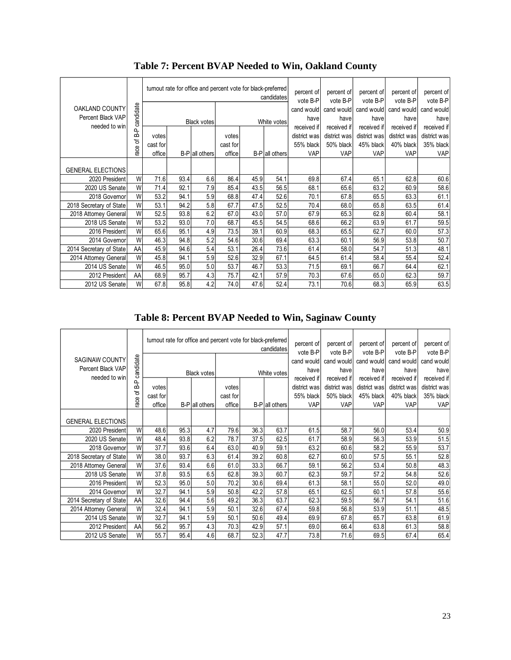|                          |           |                    | turnout rate for office and percent vote for black-preferred<br>percent of<br>candidates<br>vote B-P |                |          |      |                |              |                        | percent of<br>percent of<br>vote B-P | percent of<br>vote B-P | percent of<br>vote B-P |
|--------------------------|-----------|--------------------|------------------------------------------------------------------------------------------------------|----------------|----------|------|----------------|--------------|------------------------|--------------------------------------|------------------------|------------------------|
| OAKLAND COUNTY           | candidate |                    |                                                                                                      |                |          |      |                | cand would   | vote B-P<br>cand would | cand would                           | cand would             | cand would             |
| Percent Black VAP        |           | <b>Black votes</b> |                                                                                                      |                |          |      | White votes    | have         | have                   | have                                 | have                   | have                   |
| needed to win            | 웁         |                    |                                                                                                      |                |          |      |                | received if  | received if            | received if                          | received if            | received if            |
|                          | ᡃ᠋ᡠ       | votes              |                                                                                                      |                | votes    |      |                | district was | district was           | district was                         | district was           | district was           |
|                          | race      | cast for           |                                                                                                      |                | cast for |      |                | 55% black    | 50% black              | 45% black                            | 40% black              | 35% black              |
|                          |           | office             |                                                                                                      | B-P all others | office   |      | B-P all others | <b>VAP</b>   | VAP                    | VAP                                  | VAP                    | <b>VAP</b>             |
| <b>GENERAL ELECTIONS</b> |           |                    |                                                                                                      |                |          |      |                |              |                        |                                      |                        |                        |
| 2020 President           | W         | 71.6               | 93.4                                                                                                 | 6.6            | 86.4     | 45.9 | 54.1           | 69.8         | 67.4                   | 65.1                                 | 62.8                   | 60.6                   |
| 2020 US Senate           | W         | 71.4               | 92.1                                                                                                 | 7.9            | 85.4     | 43.5 | 56.5           | 68.1         | 65.6                   | 63.2                                 | 60.9                   | 58.6                   |
| 2018 Governor            | W         | 53.2               | 94.1                                                                                                 | 5.9            | 68.8     | 47.4 | 52.6           | 70.1         | 67.8                   | 65.5                                 | 63.3                   | 61.1                   |
| 2018 Secretary of State  | W         | 53.1               | 94.2                                                                                                 | 5.8            | 67.7     | 47.5 | 52.5           | 70.4         | 68.0                   | 65.8                                 | 63.5                   | 61.4                   |
| 2018 Attorney General    | W         | 52.5               | 93.8                                                                                                 | 6.2            | 67.0     | 43.0 | 57.0           | 67.9         | 65.3                   | 62.8                                 | 60.4                   | 58.1                   |
| 2018 US Senate           | W         | 53.2               | 93.0                                                                                                 | 7.0            | 68.7     | 45.5 | 54.5           | 68.6         | 66.2                   | 63.9                                 | 61.7                   | 59.5                   |
| 2016 President           | W         | 65.6               | 95.1                                                                                                 | 4.9            | 73.5     | 39.1 | 60.9           | 68.3         | 65.5                   | 62.7                                 | 60.0                   | 57.3                   |
| 2014 Governor            | W         | 46.3               | 94.8                                                                                                 | 5.2            | 54.6     | 30.6 | 69.4           | 63.3         | 60.1                   | 56.9                                 | 53.8                   | 50.7                   |
| 2014 Secretary of State  | AA        | 45.9               | 94.6                                                                                                 | 5.4            | 53.1     | 26.4 | 73.6           | 61.4         | 58.0                   | 54.7                                 | 51.3                   | 48.1                   |
| 2014 Attorney General    | W         | 45.8               | 94.1                                                                                                 | 5.9            | 52.6     | 32.9 | 67.1           | 64.5         | 61.4                   | 58.4                                 | 55.4                   | 52.4                   |
| 2014 US Senate           | W         | 46.5               | 95.0                                                                                                 | 5.0            | 53.7     | 46.7 | 53.3           | 71.5         | 69.1                   | 66.7                                 | 64.4                   | 62.1                   |
| 2012 President           | AA        | 68.9               | 95.7                                                                                                 | 4.3            | 75.7     | 42.1 | 57.9           | 70.3         | 67.6                   | 65.0                                 | 62.3                   | 59.7                   |
| 2012 US Senate           | W         | 67.8               | 95.8                                                                                                 | 4.2            | 74.0     | 47.6 | 52.4           | 73.1         | 70.6                   | 68.3                                 | 65.9                   | 63.5                   |

# **Table 7: Percent BVAP Needed to Win, Oakland County**

# **Table 8: Percent BVAP Needed to Win, Saginaw County**

|                          |           | turnout rate for office and percent vote for black-preferred |            |                |          |      |                | percent of   | percent of   | percent of   | percent of   | percent of   |
|--------------------------|-----------|--------------------------------------------------------------|------------|----------------|----------|------|----------------|--------------|--------------|--------------|--------------|--------------|
|                          |           |                                                              | candidates |                |          |      |                |              | vote B-P     | vote B-P     | vote B-P     | vote B-P     |
| <b>SAGINAW COUNTY</b>    |           |                                                              |            |                |          |      |                | cand would   | cand would   | cand would   | cand would   | cand would   |
| Percent Black VAP        | candidate | Black votes                                                  |            | White votes    |          |      | have           | have         | have         | have         | have         |              |
| needed to win            |           |                                                              |            |                |          |      |                | received if  | received if  | received if  | received if  | received if  |
|                          | 움         | votes                                                        |            |                | votes    |      |                | district was | district was | district was | district was | district was |
|                          | ᡃᡖ        | cast for                                                     |            |                | cast for |      |                | 55% black    | 50% black    | 45% black    | 40% black    | 35% black    |
|                          | race      | office                                                       |            | B-P all others | office   |      | B-P all others | VAP          | VAP          | <b>VAP</b>   | <b>VAP</b>   | VAP          |
|                          |           |                                                              |            |                |          |      |                |              |              |              |              |              |
| <b>GENERAL ELECTIONS</b> |           |                                                              |            |                |          |      |                |              |              |              |              |              |
| 2020 President           | W         | 48.6                                                         | 95.3       | 4.7            | 79.6     | 36.3 | 63.7           | 61.5         | 58.7         | 56.0         | 53.4         | 50.9         |
| 2020 US Senate           | W         | 48.4                                                         | 93.8       | 6.2            | 78.7     | 37.5 | 62.5           | 61.7         | 58.9         | 56.3         | 53.9         | 51.5         |
| 2018 Governor            | W         | 37.7                                                         | 93.6       | 6.4            | 63.0     | 40.9 | 59.1           | 63.2         | 60.6         | 58.2         | 55.9         | 53.7         |
| 2018 Secretary of State  | W         | 38.0                                                         | 93.7       | 6.3            | 61.4     | 39.2 | 60.8           | 62.7         | 60.0         | 57.5         | 55.1         | 52.8         |
| 2018 Attorney General    | W         | 37.6                                                         | 93.4       | 6.6            | 61.0     | 33.3 | 66.7           | 59.1         | 56.2         | 53.4         | 50.8         | 48.3         |
| 2018 US Senate           | W         | 37.8                                                         | 93.5       | 6.5            | 62.8     | 39.3 | 60.7           | 62.3         | 59.7         | 57.2         | 54.8         | 52.6         |
| 2016 President           | W         | 52.3                                                         | 95.0       | 5.0            | 70.2     | 30.6 | 69.4           | 61.3         | 58.1         | 55.0         | 52.0         | 49.0         |
| 2014 Governor            | W         | 32.7                                                         | 94.1       | 5.9            | 50.8     | 42.2 | 57.8           | 65.1         | 62.5         | 60.1         | 57.8         | 55.6         |
| 2014 Secretary of State  | AA        | 32.6                                                         | 94.4       | 5.6            | 49.2     | 36.3 | 63.7           | 62.3         | 59.5         | 56.7         | 54.1         | 51.6         |
| 2014 Attorney General    | W         | 32.4                                                         | 94.1       | 5.9            | 50.1     | 32.6 | 67.4           | 59.8         | 56.8         | 53.9         | 51.1         | 48.5         |
| 2014 US Senate           | W         | 32.7                                                         | 94.1       | 5.9            | 50.1     | 50.6 | 49.4           | 69.9         | 67.8         | 65.7         | 63.8         | 61.9         |
| 2012 President           | AA        | 56.2                                                         | 95.7       | 4.3            | 70.3     | 42.9 | 57.1           | 69.0         | 66.4         | 63.8         | 61.3         | 58.8         |
| 2012 US Senate           | W         | 55.7                                                         | 95.4       | 4.6            | 68.7     | 52.3 | 47.7           | 73.8         | 71.6         | 69.5         | 67.4         | 65.4         |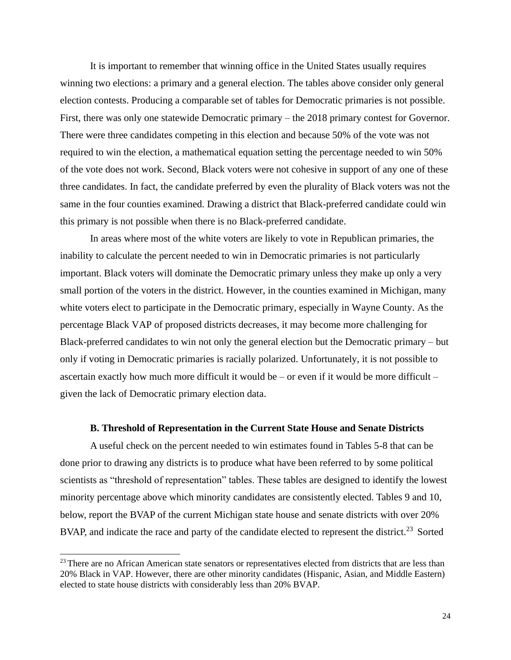It is important to remember that winning office in the United States usually requires winning two elections: a primary and a general election. The tables above consider only general election contests. Producing a comparable set of tables for Democratic primaries is not possible. First, there was only one statewide Democratic primary – the 2018 primary contest for Governor. There were three candidates competing in this election and because 50% of the vote was not required to win the election, a mathematical equation setting the percentage needed to win 50% of the vote does not work. Second, Black voters were not cohesive in support of any one of these three candidates. In fact, the candidate preferred by even the plurality of Black voters was not the same in the four counties examined. Drawing a district that Black-preferred candidate could win this primary is not possible when there is no Black-preferred candidate.

In areas where most of the white voters are likely to vote in Republican primaries, the inability to calculate the percent needed to win in Democratic primaries is not particularly important. Black voters will dominate the Democratic primary unless they make up only a very small portion of the voters in the district. However, in the counties examined in Michigan, many white voters elect to participate in the Democratic primary, especially in Wayne County. As the percentage Black VAP of proposed districts decreases, it may become more challenging for Black-preferred candidates to win not only the general election but the Democratic primary – but only if voting in Democratic primaries is racially polarized. Unfortunately, it is not possible to ascertain exactly how much more difficult it would be – or even if it would be more difficult – given the lack of Democratic primary election data.

### **B. Threshold of Representation in the Current State House and Senate Districts**

A useful check on the percent needed to win estimates found in Tables 5-8 that can be done prior to drawing any districts is to produce what have been referred to by some political scientists as "threshold of representation" tables. These tables are designed to identify the lowest minority percentage above which minority candidates are consistently elected. Tables 9 and 10, below, report the BVAP of the current Michigan state house and senate districts with over 20% BVAP, and indicate the race and party of the candidate elected to represent the district.<sup>23</sup> Sorted

<sup>&</sup>lt;sup>23</sup> There are no African American state senators or representatives elected from districts that are less than 20% Black in VAP. However, there are other minority candidates (Hispanic, Asian, and Middle Eastern) elected to state house districts with considerably less than 20% BVAP.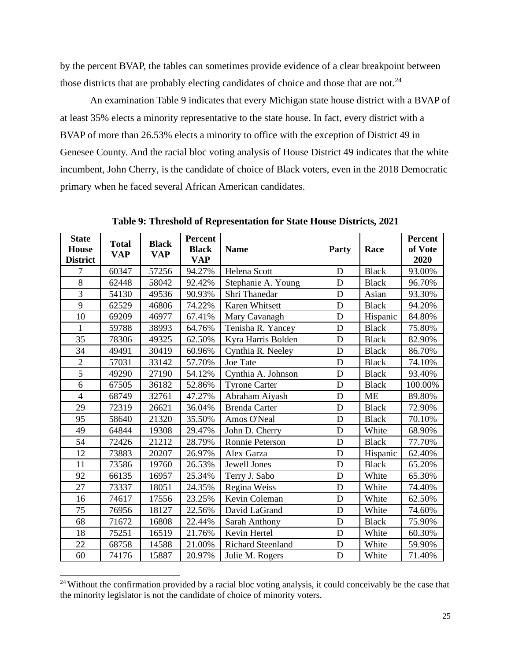by the percent BVAP, the tables can sometimes provide evidence of a clear breakpoint between those districts that are probably electing candidates of choice and those that are not.<sup>24</sup>

An examination Table 9 indicates that every Michigan state house district with a BVAP of at least 35% elects a minority representative to the state house. In fact, every district with a BVAP of more than 26.53% elects a minority to office with the exception of District 49 in Genesee County. And the racial bloc voting analysis of House District 49 indicates that the white incumbent, John Cherry, is the candidate of choice of Black voters, even in the 2018 Democratic primary when he faced several African American candidates.

| <b>State</b>    | <b>Total</b> |                            | <b>Percent</b> |                          |       |              | <b>Percent</b> |
|-----------------|--------------|----------------------------|----------------|--------------------------|-------|--------------|----------------|
| <b>House</b>    | <b>VAP</b>   | <b>Black</b><br><b>VAP</b> | <b>Black</b>   | <b>Name</b>              | Party | Race         | of Vote        |
| <b>District</b> |              |                            | <b>VAP</b>     |                          |       |              | 2020           |
| $\overline{7}$  | 60347        | 57256                      | 94.27%         | Helena Scott             | D     | <b>Black</b> | 93.00%         |
| 8               | 62448        | 58042                      | 92.42%         | Stephanie A. Young       | D     | <b>Black</b> | 96.70%         |
| 3               | 54130        | 49536                      | 90.93%         | Shri Thanedar            | D     | Asian        | 93.30%         |
| 9               | 62529        | 46806                      | 74.22%         | Karen Whitsett           | D     | <b>Black</b> | 94.20%         |
| 10              | 69209        | 46977                      | 67.41%         | Mary Cavanagh            | D     | Hispanic     | 84.80%         |
| 1               | 59788        | 38993                      | 64.76%         | Tenisha R. Yancey        | D     | <b>Black</b> | 75.80%         |
| 35              | 78306        | 49325                      | 62.50%         | Kyra Harris Bolden       | D     | <b>Black</b> | 82.90%         |
| 34              | 49491        | 30419                      | 60.96%         | Cynthia R. Neeley        | D     | <b>Black</b> | 86.70%         |
| $\overline{2}$  | 57031        | 33142                      | 57.70%         | Joe Tate                 | D     | <b>Black</b> | 74.10%         |
| $\overline{5}$  | 49290        | 27190                      | 54.12%         | Cynthia A. Johnson       | D     | <b>Black</b> | 93.40%         |
| 6               | 67505        | 36182                      | 52.86%         | <b>Tyrone Carter</b>     | D     | <b>Black</b> | 100.00%        |
| $\overline{4}$  | 68749        | 32761                      | 47.27%         | Abraham Aiyash           | D     | <b>ME</b>    | 89.80%         |
| 29              | 72319        | 26621                      | 36.04%         | <b>Brenda Carter</b>     | D     | <b>Black</b> | 72.90%         |
| 95              | 58640        | 21320                      | 35.50%         | Amos O'Neal              | D     | <b>Black</b> | 70.10%         |
| 49              | 64844        | 19308                      | 29.47%         | John D. Cherry           | D     | White        | 68.90%         |
| 54              | 72426        | 21212                      | 28.79%         | Ronnie Peterson          | D     | <b>Black</b> | 77.70%         |
| 12              | 73883        | 20207                      | 26.97%         | Alex Garza               | D     | Hispanic     | 62.40%         |
| 11              | 73586        | 19760                      | 26.53%         | Jewell Jones             | D     | <b>Black</b> | 65.20%         |
| 92              | 66135        | 16957                      | 25.34%         | Terry J. Sabo            | D     | White        | 65.30%         |
| 27              | 73337        | 18051                      | 24.35%         | Regina Weiss             | D     | White        | 74.40%         |
| 16              | 74617        | 17556                      | 23.25%         | Kevin Coleman            | D     | White        | 62.50%         |
| 75              | 76956        | 18127                      | 22.56%         | David LaGrand            | D     | White        | 74.60%         |
| 68              | 71672        | 16808                      | 22.44%         | Sarah Anthony            | D     | <b>Black</b> | 75.90%         |
| 18              | 75251        | 16519                      | 21.76%         | Kevin Hertel             | D     | White        | 60.30%         |
| 22              | 68758        | 14588                      | 21.00%         | <b>Richard Steenland</b> | D     | White        | 59.90%         |
| 60              | 74176        | 15887                      | 20.97%         | Julie M. Rogers          | D     | White        | 71.40%         |

**Table 9: Threshold of Representation for State House Districts, 2021**

<sup>&</sup>lt;sup>24</sup> Without the confirmation provided by a racial bloc voting analysis, it could conceivably be the case that the minority legislator is not the candidate of choice of minority voters.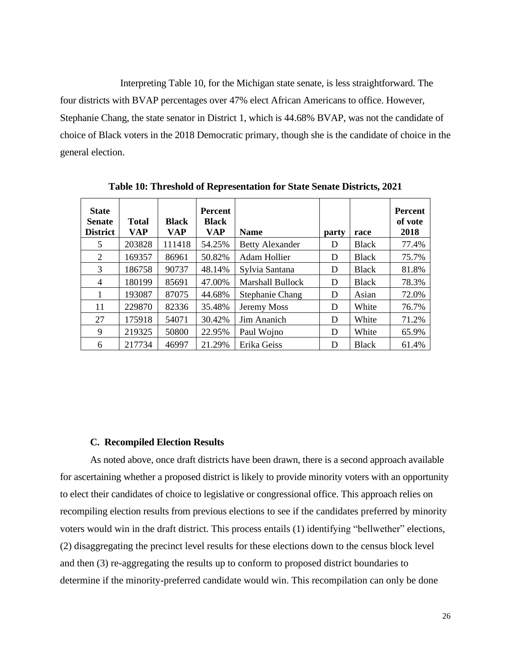Interpreting Table 10, for the Michigan state senate, is less straightforward. The four districts with BVAP percentages over 47% elect African Americans to office. However, Stephanie Chang, the state senator in District 1, which is 44.68% BVAP, was not the candidate of choice of Black voters in the 2018 Democratic primary, though she is the candidate of choice in the general election.

| <b>State</b><br><b>Senate</b><br><b>District</b> | <b>Total</b><br><b>VAP</b> | <b>Black</b><br><b>VAP</b> | <b>Percent</b><br><b>Black</b><br>VAP | <b>Name</b>             | party | race         | <b>Percent</b><br>of vote<br>2018 |
|--------------------------------------------------|----------------------------|----------------------------|---------------------------------------|-------------------------|-------|--------------|-----------------------------------|
| 5                                                | 203828                     | 111418                     | 54.25%                                | <b>Betty Alexander</b>  | D     | <b>Black</b> | 77.4%                             |
| 2                                                | 169357                     | 86961                      | 50.82%                                | Adam Hollier            | D     | <b>Black</b> | 75.7%                             |
| 3                                                | 186758                     | 90737                      | 48.14%                                | Sylvia Santana          | D     | <b>Black</b> | 81.8%                             |
| 4                                                | 180199                     | 85691                      | 47.00%                                | <b>Marshall Bullock</b> | D     | <b>Black</b> | 78.3%                             |
| 1                                                | 193087                     | 87075                      | 44.68%                                | <b>Stephanie Chang</b>  | D     | Asian        | 72.0%                             |
| 11                                               | 229870                     | 82336                      | 35.48%                                | Jeremy Moss             | D     | White        | 76.7%                             |
| 27                                               | 175918                     | 54071                      | 30.42%                                | Jim Ananich             | D     | White        | 71.2%                             |
| 9                                                | 219325                     | 50800                      | 22.95%                                | Paul Wojno              | D     | White        | 65.9%                             |
| 6                                                | 217734                     | 46997                      | 21.29%                                | Erika Geiss             | D     | <b>Black</b> | 61.4%                             |

**Table 10: Threshold of Representation for State Senate Districts, 2021**

### **C. Recompiled Election Results**

As noted above, once draft districts have been drawn, there is a second approach available for ascertaining whether a proposed district is likely to provide minority voters with an opportunity to elect their candidates of choice to legislative or congressional office. This approach relies on recompiling election results from previous elections to see if the candidates preferred by minority voters would win in the draft district. This process entails (1) identifying "bellwether" elections, (2) disaggregating the precinct level results for these elections down to the census block level and then (3) re-aggregating the results up to conform to proposed district boundaries to determine if the minority-preferred candidate would win. This recompilation can only be done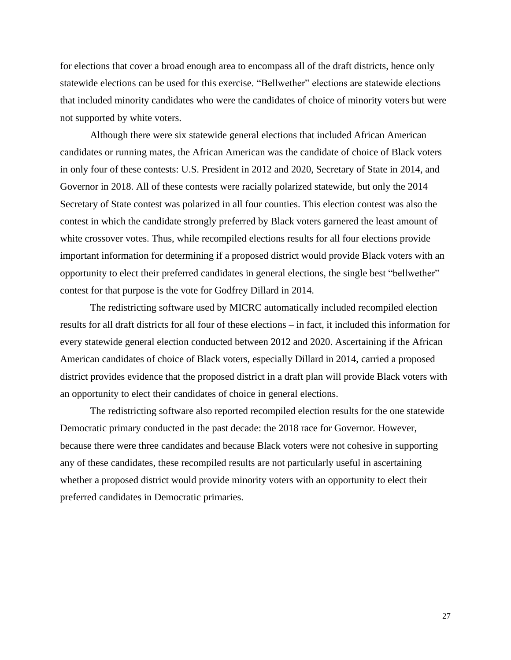for elections that cover a broad enough area to encompass all of the draft districts, hence only statewide elections can be used for this exercise. "Bellwether" elections are statewide elections that included minority candidates who were the candidates of choice of minority voters but were not supported by white voters.

Although there were six statewide general elections that included African American candidates or running mates, the African American was the candidate of choice of Black voters in only four of these contests: U.S. President in 2012 and 2020, Secretary of State in 2014, and Governor in 2018. All of these contests were racially polarized statewide, but only the 2014 Secretary of State contest was polarized in all four counties. This election contest was also the contest in which the candidate strongly preferred by Black voters garnered the least amount of white crossover votes. Thus, while recompiled elections results for all four elections provide important information for determining if a proposed district would provide Black voters with an opportunity to elect their preferred candidates in general elections, the single best "bellwether" contest for that purpose is the vote for Godfrey Dillard in 2014.

The redistricting software used by MICRC automatically included recompiled election results for all draft districts for all four of these elections – in fact, it included this information for every statewide general election conducted between 2012 and 2020. Ascertaining if the African American candidates of choice of Black voters, especially Dillard in 2014, carried a proposed district provides evidence that the proposed district in a draft plan will provide Black voters with an opportunity to elect their candidates of choice in general elections.

The redistricting software also reported recompiled election results for the one statewide Democratic primary conducted in the past decade: the 2018 race for Governor. However, because there were three candidates and because Black voters were not cohesive in supporting any of these candidates, these recompiled results are not particularly useful in ascertaining whether a proposed district would provide minority voters with an opportunity to elect their preferred candidates in Democratic primaries.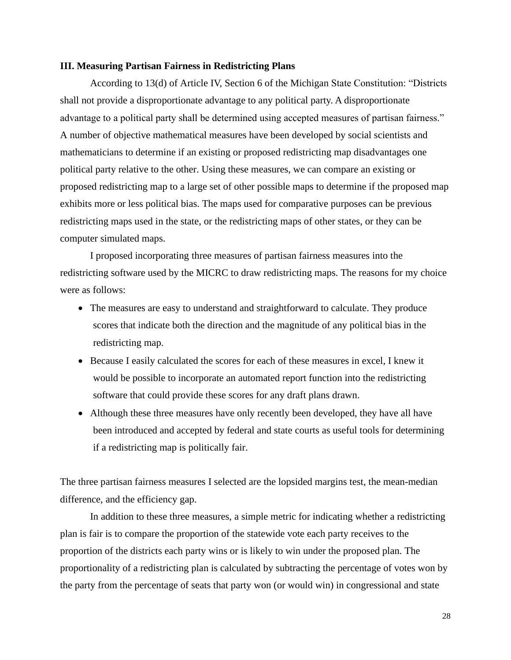### **III. Measuring Partisan Fairness in Redistricting Plans**

According to 13(d) of Article IV, Section 6 of the Michigan State Constitution: "Districts shall not provide a disproportionate advantage to any political party. A disproportionate advantage to a political party shall be determined using accepted measures of partisan fairness." A number of objective mathematical measures have been developed by social scientists and mathematicians to determine if an existing or proposed redistricting map disadvantages one political party relative to the other. Using these measures, we can compare an existing or proposed redistricting map to a large set of other possible maps to determine if the proposed map exhibits more or less political bias. The maps used for comparative purposes can be previous redistricting maps used in the state, or the redistricting maps of other states, or they can be computer simulated maps.

I proposed incorporating three measures of partisan fairness measures into the redistricting software used by the MICRC to draw redistricting maps. The reasons for my choice were as follows:

- The measures are easy to understand and straightforward to calculate. They produce scores that indicate both the direction and the magnitude of any political bias in the redistricting map.
- Because I easily calculated the scores for each of these measures in excel, I knew it would be possible to incorporate an automated report function into the redistricting software that could provide these scores for any draft plans drawn.
- Although these three measures have only recently been developed, they have all have been introduced and accepted by federal and state courts as useful tools for determining if a redistricting map is politically fair.

The three partisan fairness measures I selected are the lopsided margins test, the mean-median difference, and the efficiency gap.

In addition to these three measures, a simple metric for indicating whether a redistricting plan is fair is to compare the proportion of the statewide vote each party receives to the proportion of the districts each party wins or is likely to win under the proposed plan. The proportionality of a redistricting plan is calculated by subtracting the percentage of votes won by the party from the percentage of seats that party won (or would win) in congressional and state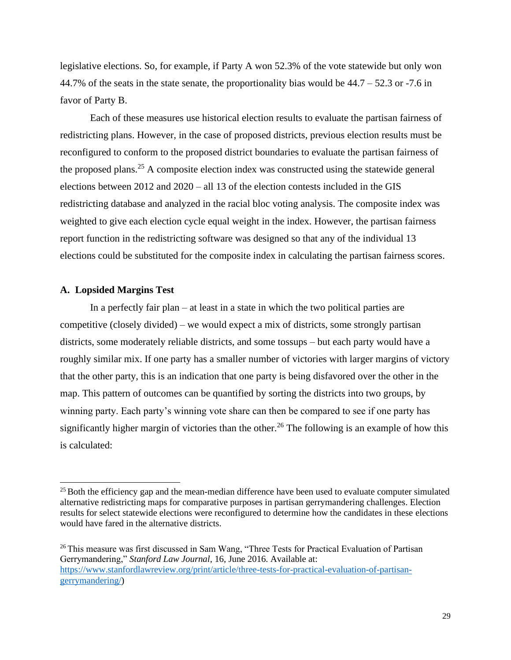legislative elections. So, for example, if Party A won 52.3% of the vote statewide but only won 44.7% of the seats in the state senate, the proportionality bias would be  $44.7 - 52.3$  or  $-7.6$  in favor of Party B.

Each of these measures use historical election results to evaluate the partisan fairness of redistricting plans. However, in the case of proposed districts, previous election results must be reconfigured to conform to the proposed district boundaries to evaluate the partisan fairness of the proposed plans.<sup>25</sup> A composite election index was constructed using the statewide general elections between 2012 and 2020 – all 13 of the election contests included in the GIS redistricting database and analyzed in the racial bloc voting analysis. The composite index was weighted to give each election cycle equal weight in the index. However, the partisan fairness report function in the redistricting software was designed so that any of the individual 13 elections could be substituted for the composite index in calculating the partisan fairness scores.

### **A. Lopsided Margins Test**

In a perfectly fair plan – at least in a state in which the two political parties are competitive (closely divided) – we would expect a mix of districts, some strongly partisan districts, some moderately reliable districts, and some tossups – but each party would have a roughly similar mix. If one party has a smaller number of victories with larger margins of victory that the other party, this is an indication that one party is being disfavored over the other in the map. This pattern of outcomes can be quantified by sorting the districts into two groups, by winning party. Each party's winning vote share can then be compared to see if one party has significantly higher margin of victories than the other.<sup>26</sup> The following is an example of how this is calculated:

<sup>&</sup>lt;sup>25</sup> Both the efficiency gap and the mean-median difference have been used to evaluate computer simulated alternative redistricting maps for comparative purposes in partisan gerrymandering challenges. Election results for select statewide elections were reconfigured to determine how the candidates in these elections would have fared in the alternative districts.

<sup>&</sup>lt;sup>26</sup> This measure was first discussed in Sam Wang, "Three Tests for Practical Evaluation of Partisan Gerrymandering," *Stanford Law Journal*, 16, June 2016. Available at: [https://www.stanfordlawreview.org/print/article/three-tests-for-practical-evaluation-of-partisan](https://www.stanfordlawreview.org/print/article/three-tests-for-practical-evaluation-of-partisan-gerrymandering/)[gerrymandering/\)](https://www.stanfordlawreview.org/print/article/three-tests-for-practical-evaluation-of-partisan-gerrymandering/)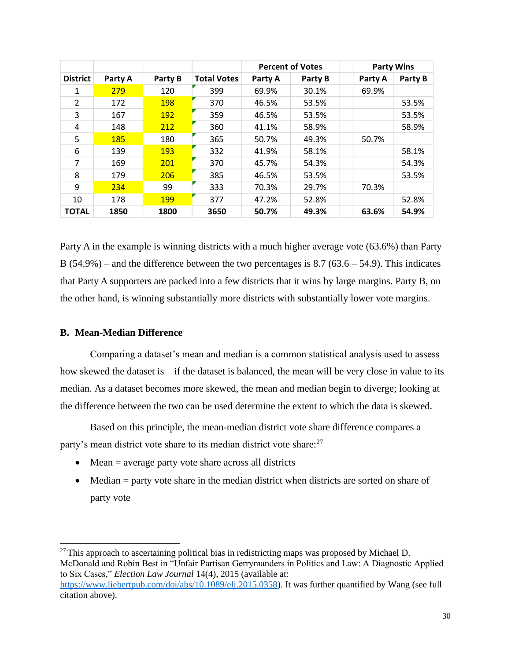|                 |         |            |                    | <b>Percent of Votes</b> |         |         | <b>Party Wins</b> |
|-----------------|---------|------------|--------------------|-------------------------|---------|---------|-------------------|
| <b>District</b> | Party A | Party B    | <b>Total Votes</b> | Party A                 | Party B | Party A | Party B           |
| 1               | 279     | 120        | 399                | 69.9%                   | 30.1%   | 69.9%   |                   |
| $\overline{2}$  | 172     | 198        | 370                | 46.5%                   | 53.5%   |         | 53.5%             |
| 3               | 167     | <b>192</b> | 359                | 46.5%                   | 53.5%   |         | 53.5%             |
| 4               | 148     | 212        | 360                | 41.1%                   | 58.9%   |         | 58.9%             |
| 5               | 185     | 180        | 365                | 50.7%                   | 49.3%   | 50.7%   |                   |
| 6               | 139     | <b>193</b> | 332                | 41.9%                   | 58.1%   |         | 58.1%             |
| $\overline{7}$  | 169     | 201        | 370                | 45.7%                   | 54.3%   |         | 54.3%             |
| 8               | 179     | 206        | 385                | 46.5%                   | 53.5%   |         | 53.5%             |
| 9               | 234     | 99         | 333                | 70.3%                   | 29.7%   | 70.3%   |                   |
| 10              | 178     | 199        | 377                | 47.2%                   | 52.8%   |         | 52.8%             |
| <b>TOTAL</b>    | 1850    | 1800       | 3650               | 50.7%                   | 49.3%   | 63.6%   | 54.9%             |

Party A in the example is winning districts with a much higher average vote (63.6%) than Party B  $(54.9\%)$  – and the difference between the two percentages is 8.7 (63.6 – 54.9). This indicates that Party A supporters are packed into a few districts that it wins by large margins. Party B, on the other hand, is winning substantially more districts with substantially lower vote margins.

### **B. Mean-Median Difference**

Comparing a dataset's mean and median is a common statistical analysis used to assess how skewed the dataset is – if the dataset is balanced, the mean will be very close in value to its median. As a dataset becomes more skewed, the mean and median begin to diverge; looking at the difference between the two can be used determine the extent to which the data is skewed.

Based on this principle, the mean-median district vote share difference compares a party's mean district vote share to its median district vote share:<sup>27</sup>

- Mean = average party vote share across all districts
- Median = party vote share in the median district when districts are sorted on share of party vote

 $27$  This approach to ascertaining political bias in redistricting maps was proposed by Michael D. McDonald and Robin Best in "Unfair Partisan Gerrymanders in Politics and Law: A Diagnostic Applied to Six Cases," *Election Law Journal* 14(4), 2015 (available at: [https://www.liebertpub.com/doi/abs/10.1089/elj.2015.0358\)](https://www.liebertpub.com/doi/abs/10.1089/elj.2015.0358). It was further quantified by Wang (see full citation above).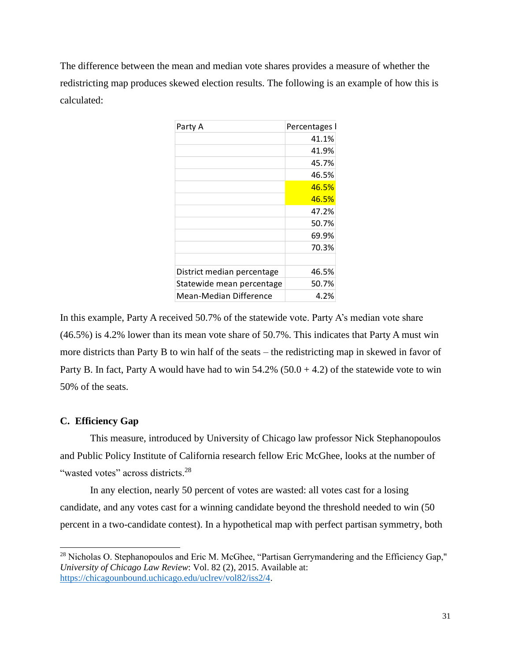The difference between the mean and median vote shares provides a measure of whether the redistricting map produces skewed election results. The following is an example of how this is calculated:

| Party A                    | Percentages I |
|----------------------------|---------------|
|                            | 41.1%         |
|                            | 41.9%         |
|                            | 45.7%         |
|                            | 46.5%         |
|                            | 46.5%         |
|                            | 46.5%         |
|                            | 47.2%         |
|                            | 50.7%         |
|                            | 69.9%         |
|                            | 70.3%         |
|                            |               |
| District median percentage | 46.5%         |
| Statewide mean percentage  | 50.7%         |
| Mean-Median Difference     | 4.2%          |

In this example, Party A received 50.7% of the statewide vote. Party A's median vote share (46.5%) is 4.2% lower than its mean vote share of 50.7%. This indicates that Party A must win more districts than Party B to win half of the seats – the redistricting map in skewed in favor of Party B. In fact, Party A would have had to win  $54.2\%$  ( $50.0 + 4.2$ ) of the statewide vote to win 50% of the seats.

## **C. Efficiency Gap**

This measure, introduced by University of Chicago law professor Nick Stephanopoulos and Public Policy Institute of California research fellow Eric McGhee, looks at the number of "wasted votes" across districts.<sup>28</sup>

In any election, nearly 50 percent of votes are wasted: all votes cast for a losing candidate, and any votes cast for a winning candidate beyond the threshold needed to win (50 percent in a two-candidate contest). In a hypothetical map with perfect partisan symmetry, both

<sup>&</sup>lt;sup>28</sup> Nicholas O. Stephanopoulos and Eric M. McGhee, "Partisan Gerrymandering and the Efficiency Gap," *University of Chicago Law Review*: Vol. 82 (2), 2015. Available at: [https://chicagounbound.uchicago.edu/uclrev/vol82/iss2/4.](https://chicagounbound.uchicago.edu/uclrev/vol82/iss2/4)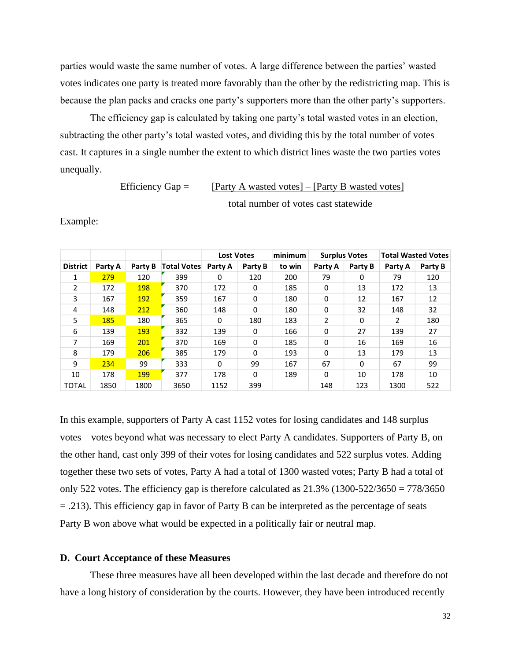parties would waste the same number of votes. A large difference between the parties' wasted votes indicates one party is treated more favorably than the other by the redistricting map. This is because the plan packs and cracks one party's supporters more than the other party's supporters.

The efficiency gap is calculated by taking one party's total wasted votes in an election, subtracting the other party's total wasted votes, and dividing this by the total number of votes cast. It captures in a single number the extent to which district lines waste the two parties votes unequally.

> Efficiency Gap =  $[{\text{Party A wasted votes}}] - [{\text{Party B wasted votes}}]$ total number of votes cast statewide

Example:

|                 |         |         |                    | <b>Lost Votes</b> |          | minimum | <b>Surplus Votes</b> |              | <b>Total Wasted Votes</b> |         |
|-----------------|---------|---------|--------------------|-------------------|----------|---------|----------------------|--------------|---------------------------|---------|
| <b>District</b> | Party A | Party B | <b>Total Votes</b> | Party A           | Party B  | to win  | Party A              | Party B      | Party A                   | Party B |
| 1               | 279     | 120     | 399                | 0                 | 120      | 200     | 79                   | 0            | 79                        | 120     |
| $\mathcal{L}$   | 172     | 198     | 370                | 172               | 0        | 185     | $\Omega$             | 13           | 172                       | 13      |
| 3               | 167     | 192     | 359                | 167               | 0        | 180     | $\mathbf{0}$         | 12           | 167                       | 12      |
| 4               | 148     | 212     | 360                | 148               | $\Omega$ | 180     | $\mathbf{0}$         | 32           | 148                       | 32      |
| 5               | 185     | 180     | 365                | 0                 | 180      | 183     | 2                    | $\Omega$     | 2                         | 180     |
| 6               | 139     | 193     | 332                | 139               | 0        | 166     | $\mathbf{0}$         | 27           | 139                       | 27      |
| 7               | 169     | 201     | 370                | 169               | 0        | 185     | $\mathbf{0}$         | 16           | 169                       | 16      |
| 8               | 179     | 206     | 385                | 179               | $\Omega$ | 193     | $\Omega$             | 13           | 179                       | 13      |
| 9               | 234     | 99      | 333                | $\Omega$          | 99       | 167     | 67                   | $\mathbf{0}$ | 67                        | 99      |
| 10              | 178     | 199     | 377                | 178               | $\Omega$ | 189     | $\Omega$             | 10           | 178                       | 10      |
| <b>TOTAL</b>    | 1850    | 1800    | 3650               | 1152              | 399      |         | 148                  | 123          | 1300                      | 522     |

In this example, supporters of Party A cast 1152 votes for losing candidates and 148 surplus votes – votes beyond what was necessary to elect Party A candidates. Supporters of Party B, on the other hand, cast only 399 of their votes for losing candidates and 522 surplus votes. Adding together these two sets of votes, Party A had a total of 1300 wasted votes; Party B had a total of only 522 votes. The efficiency gap is therefore calculated as  $21.3\%$  (1300-522/3650 = 778/3650 = .213). This efficiency gap in favor of Party B can be interpreted as the percentage of seats Party B won above what would be expected in a politically fair or neutral map.

#### **D. Court Acceptance of these Measures**

These three measures have all been developed within the last decade and therefore do not have a long history of consideration by the courts. However, they have been introduced recently